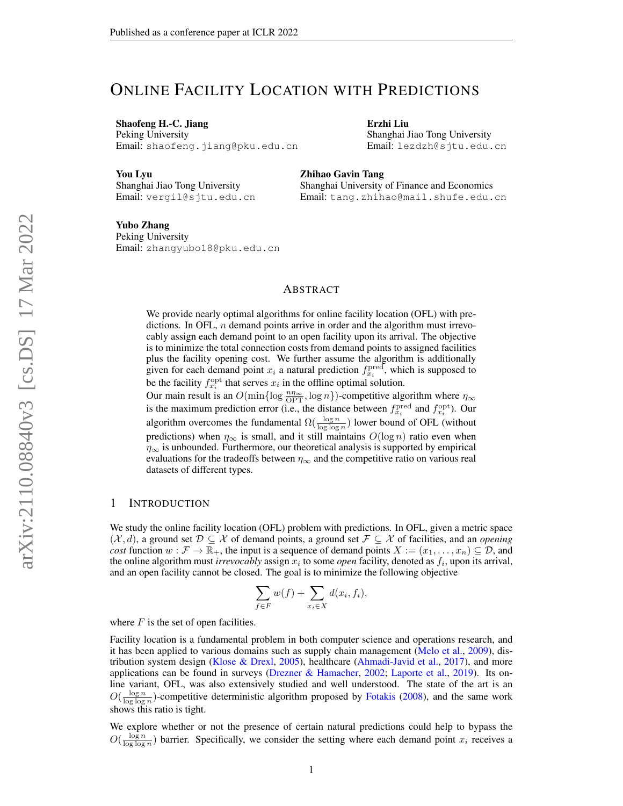# ONLINE FACILITY LOCATION WITH PREDICTIONS

Shaofeng H.-C. Jiang Peking University Email: shaofeng.jiang@pku.edu.cn Erzhi Liu Shanghai Jiao Tong University Email: lezdzh@sjtu.edu.cn

Shanghai University of Finance and Economics Email: tang.zhihao@mail.shufe.edu.cn

You Lyu Shanghai Jiao Tong University Email: vergil@sjtu.edu.cn

Yubo Zhang Peking University Email: zhangyubo18@pku.edu.cn

### ABSTRACT

Zhihao Gavin Tang

We provide nearly optimal algorithms for online facility location (OFL) with predictions. In OFL,  $n$  demand points arrive in order and the algorithm must irrevocably assign each demand point to an open facility upon its arrival. The objective is to minimize the total connection costs from demand points to assigned facilities plus the facility opening cost. We further assume the algorithm is additionally given for each demand point  $x_i$  a natural prediction  $f_{x_i}^{\text{pred}}$ , which is supposed to be the facility  $f_{x_i}^{\text{opt}}$  that serves  $x_i$  in the offline optimal solution.

Our main result is an  $O(\min\{\log \frac{n\eta_{\infty}}{\text{OPT}}, \log n\})$ -competitive algorithm where  $\eta_{\infty}$ is the maximum prediction error (i.e., the distance between  $f_{x_i}^{\text{pred}}$  and  $f_{x_i}^{\text{opt}}$ ). Our algorithm overcomes the fundamental  $\Omega(\frac{\log n}{\log \log n})$  lower bound of OFL (without predictions) when  $\eta_{\infty}$  is small, and it still maintains  $O(\log n)$  ratio even when  $\eta_{\infty}$  is unbounded. Furthermore, our theoretical analysis is supported by empirical evaluations for the tradeoffs between  $\eta_{\infty}$  and the competitive ratio on various real datasets of different types.

#### 1 INTRODUCTION

We study the online facility location (OFL) problem with predictions. In OFL, given a metric space  $(\mathcal{X}, d)$ , a ground set  $\mathcal{D} \subseteq \mathcal{X}$  of demand points, a ground set  $\mathcal{F} \subseteq \mathcal{X}$  of facilities, and an *opening cost* function  $w : \mathcal{F} \to \mathbb{R}_+$ , the input is a sequence of demand points  $X := (x_1, \ldots, x_n) \subseteq \mathcal{D}$ , and the online algorithm must *irrevocably* assign  $x_i$  to some *open* facility, denoted as  $f_i$ , upon its arrival, and an open facility cannot be closed. The goal is to minimize the following objective

$$
\sum_{f \in F} w(f) + \sum_{x_i \in X} d(x_i, f_i),
$$

where  $F$  is the set of open facilities.

Facility location is a fundamental problem in both computer science and operations research, and it has been applied to various domains such as supply chain management [\(Melo et al.,](#page-10-0) [2009\)](#page-10-0), distribution system design [\(Klose & Drexl,](#page-10-1) [2005\)](#page-10-1), healthcare [\(Ahmadi-Javid et al.,](#page-9-0) [2017\)](#page-9-0), and more applications can be found in surveys [\(Drezner & Hamacher,](#page-9-1) [2002;](#page-9-1) [Laporte et al.,](#page-10-2) [2019\)](#page-10-2). Its online variant, OFL, was also extensively studied and well understood. The state of the art is an  $O(\frac{\log n}{\log \log n})$ -competitive deterministic algorithm proposed by [Fotakis](#page-9-2) [\(2008\)](#page-9-2), and the same work shows this ratio is tight.

We explore whether or not the presence of certain natural predictions could help to bypass the  $O(\frac{\log n}{\log \log n})$  barrier. Specifically, we consider the setting where each demand point  $x_i$  receives a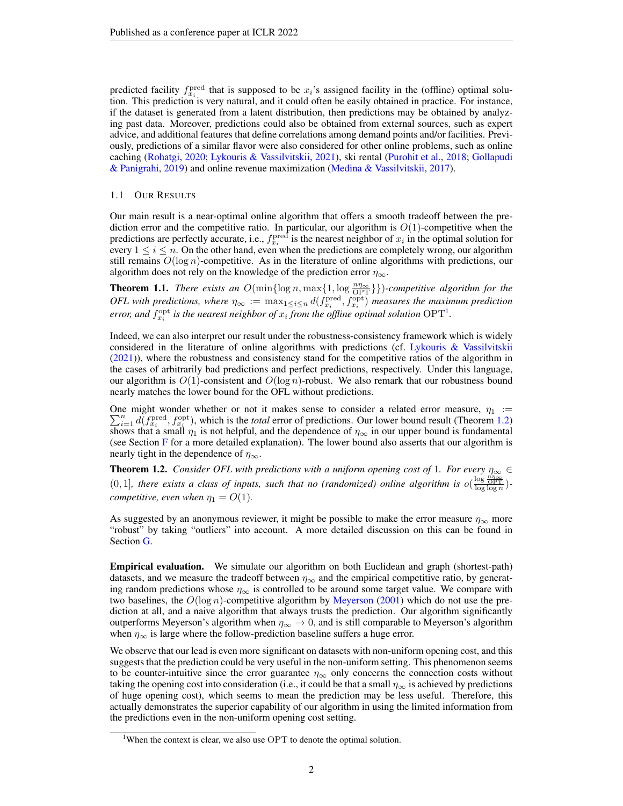predicted facility  $f_{x_i}^{\text{pred}}$  that is supposed to be  $x_i$ 's assigned facility in the (offline) optimal solution. This prediction is very natural, and it could often be easily obtained in practice. For instance, if the dataset is generated from a latent distribution, then predictions may be obtained by analyzing past data. Moreover, predictions could also be obtained from external sources, such as expert advice, and additional features that define correlations among demand points and/or facilities. Previously, predictions of a similar flavor were also considered for other online problems, such as online caching [\(Rohatgi,](#page-10-3) [2020;](#page-10-3) [Lykouris & Vassilvitskii,](#page-10-4) [2021\)](#page-10-4), ski rental [\(Purohit et al.,](#page-10-5) [2018;](#page-10-5) [Gollapudi](#page-10-6) [& Panigrahi,](#page-10-6) [2019\)](#page-10-6) and online revenue maximization [\(Medina & Vassilvitskii,](#page-10-7) [2017\)](#page-10-7).

#### 1.1 OUR RESULTS

Our main result is a near-optimal online algorithm that offers a smooth tradeoff between the prediction error and the competitive ratio. In particular, our algorithm is  $O(1)$ -competitive when the predictions are perfectly accurate, i.e.,  $f_{x_i}^{\text{pred}}$  is the nearest neighbor of  $x_i$  in the optimal solution for every  $1 \leq i \leq n$ . On the other hand, even when the predictions are completely wrong, our algorithm still remains  $O(\log n)$ -competitive. As in the literature of online algorithms with predictions, our algorithm does not rely on the knowledge of the prediction error  $\eta_{\infty}$ .

<span id="page-1-2"></span>**Theorem 1.1.** *There exists an*  $O(\min\{\log n, \max\{1, \log \frac{n\eta_{\infty}}{\text{OPT}}\}\})$ *-competitive algorithm for the OFL* with predictions, where  $\eta_{\infty} := \max_{1 \leq i \leq n} d(f_{x_i}^{\text{pred}}, f_{x_i}^{\text{opt}})$  measures the maximum prediction error, and  $f_{x_i}^{\text{opt}}$  is the nearest neighbor of  $x_i$  from the offline optimal solution  $\text{OPT}^1$  $\text{OPT}^1$ .

Indeed, we can also interpret our result under the robustness-consistency framework which is widely considered in the literature of online algorithms with predictions (cf. [Lykouris & Vassilvitskii](#page-10-4) [\(2021\)](#page-10-4)), where the robustness and consistency stand for the competitive ratios of the algorithm in the cases of arbitrarily bad predictions and perfect predictions, respectively. Under this language, our algorithm is  $O(1)$ -consistent and  $O(\log n)$ -robust. We also remark that our robustness bound nearly matches the lower bound for the OFL without predictions.

One might wonder whether or not it makes sense to consider a related error measure,  $\eta_1$  :=  $\sum_{i=1}^{n} d(f_{x_i}^{\text{pred}}, f_{x_i}^{\text{opt}})$ , which is the *total* error of predictions. Our lower bound result (Theorem [1.2\)](#page-1-1) shows that a small  $\eta_1$  is not helpful, and the dependence of  $\eta_{\infty}$  in our upper bound is fundamental (see Section  $F$  for a more detailed explanation). The lower bound also asserts that our algorithm is nearly tight in the dependence of  $\eta_{\infty}$ .

<span id="page-1-1"></span>**Theorem 1.2.** *Consider OFL with predictions with a uniform opening cost of* 1*. For every*  $\eta_{\infty} \in$  $(0, 1]$ , there exists a class of inputs, such that no (randomized) online algorithm is  $o(\frac{\log \frac{n_{\eta_{\infty}}}{\log \log n}}{\log \log n})$ *competitive, even when*  $\eta_1 = O(1)$ *.* 

As suggested by an anonymous reviewer, it might be possible to make the error measure  $\eta_{\infty}$  more "robust" by taking "outliers" into account. A more detailed discussion on this can be found in Section [G.](#page-17-0)

Empirical evaluation. We simulate our algorithm on both Euclidean and graph (shortest-path) datasets, and we measure the tradeoff between  $\eta_{\infty}$  and the empirical competitive ratio, by generating random predictions whose  $\eta_{\infty}$  is controlled to be around some target value. We compare with two baselines, the  $O(\log n)$ -competitive algorithm by [Meyerson](#page-10-8) [\(2001\)](#page-10-8) which do not use the prediction at all, and a naive algorithm that always trusts the prediction. Our algorithm significantly outperforms Meyerson's algorithm when  $\eta_{\infty} \to 0$ , and is still comparable to Meyerson's algorithm when  $\eta_{\infty}$  is large where the follow-prediction baseline suffers a huge error.

We observe that our lead is even more significant on datasets with non-uniform opening cost, and this suggests that the prediction could be very useful in the non-uniform setting. This phenomenon seems to be counter-intuitive since the error guarantee  $\eta_{\infty}$  only concerns the connection costs without taking the opening cost into consideration (i.e., it could be that a small  $\eta_{\infty}$  is achieved by predictions of huge opening cost), which seems to mean the prediction may be less useful. Therefore, this actually demonstrates the superior capability of our algorithm in using the limited information from the predictions even in the non-uniform opening cost setting.

<span id="page-1-0"></span><sup>&</sup>lt;sup>1</sup>When the context is clear, we also use OPT to denote the optimal solution.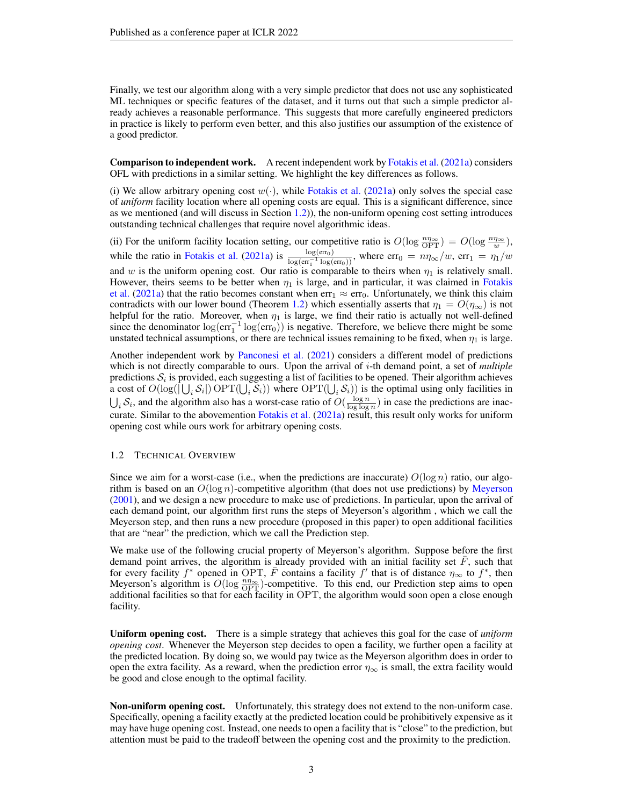Finally, we test our algorithm along with a very simple predictor that does not use any sophisticated ML techniques or specific features of the dataset, and it turns out that such a simple predictor already achieves a reasonable performance. This suggests that more carefully engineered predictors in practice is likely to perform even better, and this also justifies our assumption of the existence of a good predictor.

**Comparison to independent work.** A recent independent work by [Fotakis et al.](#page-9-3) [\(2021a\)](#page-9-3) considers OFL with predictions in a similar setting. We highlight the key differences as follows.

(i) We allow arbitrary opening cost  $w(\cdot)$ , while [Fotakis et al.](#page-9-3) [\(2021a\)](#page-9-3) only solves the special case of *uniform* facility location where all opening costs are equal. This is a significant difference, since as we mentioned (and will discuss in Section [1.2\)](#page-2-0)), the non-uniform opening cost setting introduces outstanding technical challenges that require novel algorithmic ideas.

(ii) For the uniform facility location setting, our competitive ratio is  $O(\log \frac{n\eta_{\infty}}{OPT}) = O(\log \frac{n\eta_{\infty}}{w})$ , while the ratio in [Fotakis et al.](#page-9-3) [\(2021a\)](#page-9-3) is  $\frac{\log(\text{err}_0)}{\log(\text{err}_1^{-1}\log(\text{err}_0))}$ , where  $\text{err}_0 = n\eta_{\infty}/w$ ,  $\text{err}_1 = \eta_1/w$ and w is the uniform opening cost. Our ratio is comparable to theirs when  $\eta_1$  is relatively small. However, theirs seems to be better when  $\eta_1$  is large, and in particular, it was claimed in [Fotakis](#page-9-3) [et al.](#page-9-3) [\(2021a\)](#page-9-3) that the ratio becomes constant when  $err_1 \approx err_0$ . Unfortunately, we think this claim contradicts with our lower bound (Theorem [1.2\)](#page-1-1) which essentially asserts that  $\eta_1 = O(\eta_\infty)$  is not helpful for the ratio. Moreover, when  $\eta_1$  is large, we find their ratio is actually not well-defined since the denominator  $log(err_1^{-1}log(err_0))$  is negative. Therefore, we believe there might be some unstated technical assumptions, or there are technical issues remaining to be fixed, when  $\eta_1$  is large.

Another independent work by [Panconesi et al.](#page-10-9) [\(2021\)](#page-10-9) considers a different model of predictions which is not directly comparable to ours. Upon the arrival of i-th demand point, a set of *multiple* predictions  $S_i$  is provided, each suggesting a list of facilities to be opened. Their algorithm achieves a cost of  $O(\log(|\bigcup_i S_i|) \text{OPT}(\bigcup_i S_i))$  where  $\text{OPT}(\bigcup_i S_i))$  is the optimal using only facilities in  $\bigcup_i S_i$ , and the algorithm also has a worst-case ratio of  $O(\frac{\log n}{\log \log n})$  in case the predictions are inaccurate. Similar to the abovemention [Fotakis et al.](#page-9-3) [\(2021a\)](#page-9-3) result, this result only works for uniform opening cost while ours work for arbitrary opening costs.

#### <span id="page-2-0"></span>1.2 TECHNICAL OVERVIEW

Since we aim for a worst-case (i.e., when the predictions are inaccurate)  $O(\log n)$  ratio, our algorithm is based on an  $O(\log n)$ -competitive algorithm (that does not use predictions) by [Meyerson](#page-10-8) [\(2001\)](#page-10-8), and we design a new procedure to make use of predictions. In particular, upon the arrival of each demand point, our algorithm first runs the steps of Meyerson's algorithm , which we call the Meyerson step, and then runs a new procedure (proposed in this paper) to open additional facilities that are "near" the prediction, which we call the Prediction step.

We make use of the following crucial property of Meyerson's algorithm. Suppose before the first demand point arrives, the algorithm is already provided with an initial facility set  $F$ , such that for every facility  $f^*$  opened in OPT,  $\overline{F}$  contains a facility  $f'$  that is of distance  $\eta_{\infty}$  to  $f^*$ , then Meyerson's algorithm is  $O(\log \frac{n\eta_{\infty}}{\text{OPT}})$ -competitive. To this end, our Prediction step aims to open additional facilities so that for each facility in OPT, the algorithm would soon open a close enough facility.

Uniform opening cost. There is a simple strategy that achieves this goal for the case of *uniform opening cost*. Whenever the Meyerson step decides to open a facility, we further open a facility at the predicted location. By doing so, we would pay twice as the Meyerson algorithm does in order to open the extra facility. As a reward, when the prediction error  $\eta_{\infty}$  is small, the extra facility would be good and close enough to the optimal facility.

Non-uniform opening cost. Unfortunately, this strategy does not extend to the non-uniform case. Specifically, opening a facility exactly at the predicted location could be prohibitively expensive as it may have huge opening cost. Instead, one needs to open a facility that is "close" to the prediction, but attention must be paid to the tradeoff between the opening cost and the proximity to the prediction.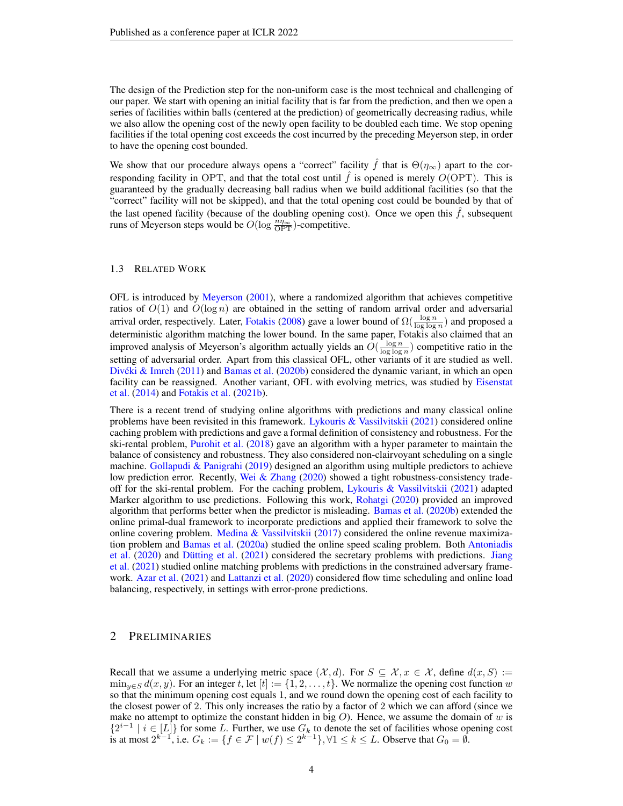The design of the Prediction step for the non-uniform case is the most technical and challenging of our paper. We start with opening an initial facility that is far from the prediction, and then we open a series of facilities within balls (centered at the prediction) of geometrically decreasing radius, while we also allow the opening cost of the newly open facility to be doubled each time. We stop opening facilities if the total opening cost exceeds the cost incurred by the preceding Meyerson step, in order to have the opening cost bounded.

We show that our procedure always opens a "correct" facility  $\hat{f}$  that is  $\Theta(\eta_{\infty})$  apart to the corresponding facility in OPT, and that the total cost until  $\hat{f}$  is opened is merely  $O(\text{OPT})$ . This is guaranteed by the gradually decreasing ball radius when we build additional facilities (so that the "correct" facility will not be skipped), and that the total opening cost could be bounded by that of the last opened facility (because of the doubling opening cost). Once we open this  $f$ , subsequent runs of Meyerson steps would be  $O(\log \frac{n\eta_{\infty}}{\text{OPT}})$ -competitive.

### 1.3 RELATED WORK

OFL is introduced by [Meyerson](#page-10-8) [\(2001\)](#page-10-8), where a randomized algorithm that achieves competitive ratios of  $O(1)$  and  $O(\log n)$  are obtained in the setting of random arrival order and adversarial arrival order, respectively. Later, [Fotakis](#page-9-2) [\(2008\)](#page-9-2) gave a lower bound of  $\Omega(\frac{\log n}{\log \log n})$  and proposed a deterministic algorithm matching the lower bound. In the same paper, Fotakis also claimed that an improved analysis of Meyerson's algorithm actually yields an  $O(\frac{\log n}{\log \log n})$  competitive ratio in the setting of adversarial order. Apart from this classical OFL, other variants of it are studied as well. Divéki & Imreh  $(2011)$  and [Bamas et al.](#page-9-5)  $(2020b)$  considered the dynamic variant, in which an open facility can be reassigned. Another variant, OFL with evolving metrics, was studied by [Eisenstat](#page-9-6) [et al.](#page-9-6) [\(2014\)](#page-9-6) and [Fotakis et al.](#page-9-7) [\(2021b\)](#page-9-7).

There is a recent trend of studying online algorithms with predictions and many classical online problems have been revisited in this framework. [Lykouris & Vassilvitskii](#page-10-4) [\(2021\)](#page-10-4) considered online caching problem with predictions and gave a formal definition of consistency and robustness. For the ski-rental problem, [Purohit et al.](#page-10-5) [\(2018\)](#page-10-5) gave an algorithm with a hyper parameter to maintain the balance of consistency and robustness. They also considered non-clairvoyant scheduling on a single machine. Gollapudi  $\&$  Panigrahi [\(2019\)](#page-10-6) designed an algorithm using multiple predictors to achieve low prediction error. Recently, [Wei & Zhang](#page-10-10) [\(2020\)](#page-10-10) showed a tight robustness-consistency tradeoff for the ski-rental problem. For the caching problem, [Lykouris & Vassilvitskii](#page-10-4) [\(2021\)](#page-10-4) adapted Marker algorithm to use predictions. Following this work, [Rohatgi](#page-10-3) [\(2020\)](#page-10-3) provided an improved algorithm that performs better when the predictor is misleading. [Bamas et al.](#page-9-5) [\(2020b\)](#page-9-5) extended the online primal-dual framework to incorporate predictions and applied their framework to solve the online covering problem. Medina  $& V$ assilvitskii [\(2017\)](#page-10-7) considered the online revenue maximization problem and [Bamas et al.](#page-9-8) [\(2020a\)](#page-9-8) studied the online speed scaling problem. Both [Antoniadis](#page-9-9) [et al.](#page-9-9)  $(2020)$  and Dütting et al.  $(2021)$  considered the secretary problems with predictions. [Jiang](#page-10-11) [et al.](#page-10-11) [\(2021\)](#page-10-11) studied online matching problems with predictions in the constrained adversary framework. [Azar et al.](#page-9-11) [\(2021\)](#page-9-11) and [Lattanzi et al.](#page-10-12) [\(2020\)](#page-10-12) considered flow time scheduling and online load balancing, respectively, in settings with error-prone predictions.

### 2 PRELIMINARIES

Recall that we assume a underlying metric space  $(\mathcal{X}, d)$ . For  $S \subseteq \mathcal{X}, x \in \mathcal{X}$ , define  $d(x, S) :=$  $\min_{y \in S} d(x, y)$ . For an integer t, let  $[t] := \{1, 2, \ldots, t\}$ . We normalize the opening cost function w so that the minimum opening cost equals 1, and we round down the opening cost of each facility to the closest power of 2. This only increases the ratio by a factor of 2 which we can afford (since we make no attempt to optimize the constant hidden in big  $O$ ). Hence, we assume the domain of w is  ${2^{i-1} \mid i \in [L]}$  for some *L*. Further, we use  $G_k$  to denote the set of facilities whose opening cost is at most  $2^{k-1}$ , i.e.  $G_k := {f \in \mathcal{F} \mid w(f) \le 2^{k-1}}$ , ∀1  $\le k \le L$ . Observe that  $G_0 = \emptyset$ .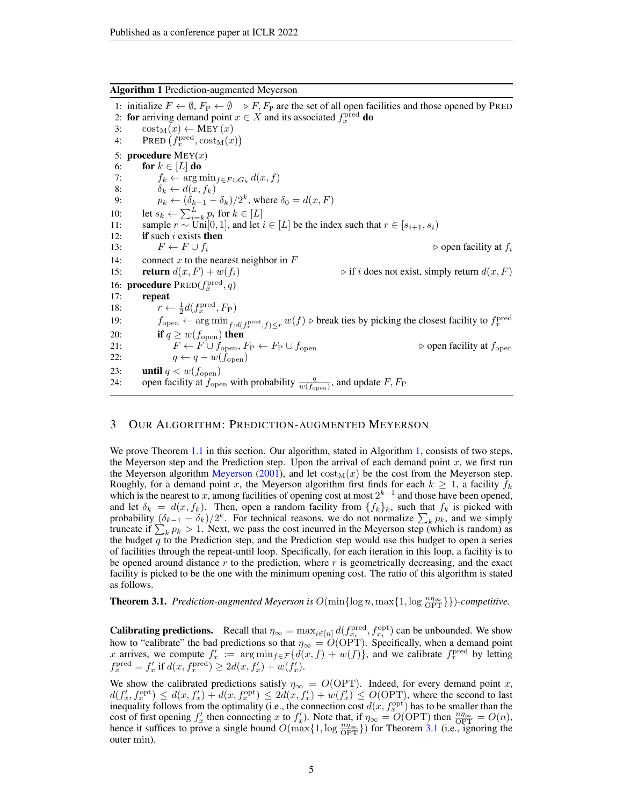<span id="page-4-0"></span>

1: initialize  $F \leftarrow \emptyset$ ,  $F_P \leftarrow \emptyset$   $\triangleright F$ ,  $F_P$  are the set of all open facilities and those opened by PRED 2: for arriving demand point  $x \in X$  and its associated  $f_x^{\text{pred}}$  do 3:  $\operatorname{cost}_{M}(x) \leftarrow \text{MAY}(x)$ <br>4:  $\operatorname{PRED}(f_x^{\text{pred}}, \operatorname{cost}_{M}(x))$ 4: PRED  $(f_x^{\text{pred}}, \text{cost}_M(x))$ 5: **procedure**  $M EY(x)$ 6: **for**  $k \in [L]$  **do**<br>7:  $f_k \leftarrow \arg n$ 7:  $f_k \leftarrow \arg \min_{f \in F \cup G_k} d(x, f)$ <br>8:  $\delta_k \leftarrow d(x, f_k)$ 8:  $\delta_k \leftarrow d(x, f_k)$ 9:  $p_k \leftarrow (\delta_{k-1} - \delta_k)/2^k$ , where  $\delta_0 = d(x, F)$ 10: let  $s_k \leftarrow \sum_{i=k}^{L} p_i$  for  $k \in [L]$ 11: sample  $r \sim \text{Uni}[0, 1]$ , and let  $i \in [L]$  be the index such that  $r \in [s_{i+1}, s_i)$ 12: **if** such i exists then 13:  $F \leftarrow F \cup f_i$ <br>
14: connect x to the nearest neighbor in F<br>
14: connect x to the nearest neighbor in F connect x to the nearest neighbor in  $F$ 15: **return**  $d(x, F) + w(f_i)$   $\triangleright$  if i does not exist, simply return  $d(x, F)$ 16: **procedure**  $PRED(f_x^{\text{pred}}, q)$ 17: repeat 18:  $r \leftarrow \frac{1}{2}d(f_x^{\text{pred}}, F_P)$ 19:  $f_{\text{open}} \leftarrow \arg \min_{f:d(f_x^{\text{pred}}, f) \leq r} w(f)$   $\triangleright$  break ties by picking the closest facility to  $f_x^{\text{pred}}$ 20: **if**  $q \geq w(f_{\text{open}})$  then 21:  $F \leftarrow F \cup f_{\text{open}}$ ,  $F_P \leftarrow F_P \cup f_{\text{open}}$   $\triangleright$  open facility at  $f_{\text{open}}$ 22:  $q \leftarrow q - w(f_{\text{open}})$ 23: **until**  $q < w(f_{\text{open}})$ 24: open facility at  $f_{\text{open}}$  with probability  $\frac{q}{w(f_{\text{open}})}$ , and update  $F, F_{\text{P}}$ 

### 3 OUR ALGORITHM: PREDICTION-AUGMENTED MEYERSON

We prove Theorem [1.1](#page-1-2) in this section. Our algorithm, stated in Algorithm [1,](#page-4-0) consists of two steps, the Meyerson step and the Prediction step. Upon the arrival of each demand point  $x$ , we first run the [Meyerson](#page-10-8) algorithm Meyerson [\(2001\)](#page-10-8), and let  $\cos t_M(x)$  be the cost from the Meyerson step. Roughly, for a demand point x, the Meyerson algorithm first finds for each  $k \geq 1$ , a facility  $f_k$ which is the nearest to x, among facilities of opening cost at most  $2^{k-1}$  and those have been opened, and let  $\delta_k = d(x, f_k)$ . Then, open a random facility from  $\{f_k\}_k$ , such that  $f_k$  is picked with probability  $(\delta_{k-1} - \delta_k)/2^k$ . For technical reasons, we do not normalize  $\sum_k p_k$ , and we simply truncate if  $\sum_k p_k > 1$ . Next, we pass the cost incurred in the Meyerson step (which is random) as the budget  $q$  to the Prediction step, and the Prediction step would use this budget to open a series of facilities through the repeat-until loop. Specifically, for each iteration in this loop, a facility is to be opened around distance  $r$  to the prediction, where  $r$  is geometrically decreasing, and the exact facility is picked to be the one with the minimum opening cost. The ratio of this algorithm is stated as follows.

<span id="page-4-1"></span>**Theorem 3.1.** *Prediction-augmented Meyerson is*  $O(\min\{\log n, \max\{1, \log \frac{n\eta_{\infty}}{\text{OPT}}\}\})$ *-competitive.* 

**Calibrating predictions.** Recall that  $\eta_{\infty} = \max_{i \in [n]} d(f_{x_i}^{\text{pred}}, f_{x_i}^{\text{opt}})$  can be unbounded. We show how to "calibrate" the bad predictions so that  $\eta_{\infty} = O(OPT)$ . Specifically, when a demand point x arrives, we compute  $f'_x := \arg \min_{f \in \mathcal{F}} \{d(x, f) + w(f)\}\)$ , and we calibrate  $f_x^{\text{pred}}$  by letting  $f_x^{\text{pred}} = f'_x \text{ if } d(x, f_x^{\text{pred}}) \ge 2d(x, f'_x) + w(f'_x).$ 

We show the calibrated predictions satisfy  $\eta_{\infty} = O(OPT)$ . Indeed, for every demand point x,  $d(f'_x, f_x^{\text{opt}}) \leq d(x, f'_x) + d(x, f_x^{\text{opt}}) \leq 2d(x, f'_x) + w(f'_x) \leq O(\text{OPT})$ , where the second to last inequality follows from the optimality (i.e., the connection cost  $d(x, f_x^{\text{opt}})$  has to be smaller than the cost of first opening  $f'_x$  then connecting x to  $f'_x$ ). Note that, if  $\eta_{\infty} = O(OPT)$  then  $\frac{n\eta_{\infty}}{OPT} = O(n)$ , hence it suffices to prove a single bound  $O(\max\{1, \log \frac{n\eta_{\infty}}{\text{OPT}}\})$  for Theorem [3.1](#page-4-1) (i.e., ignoring the outer min).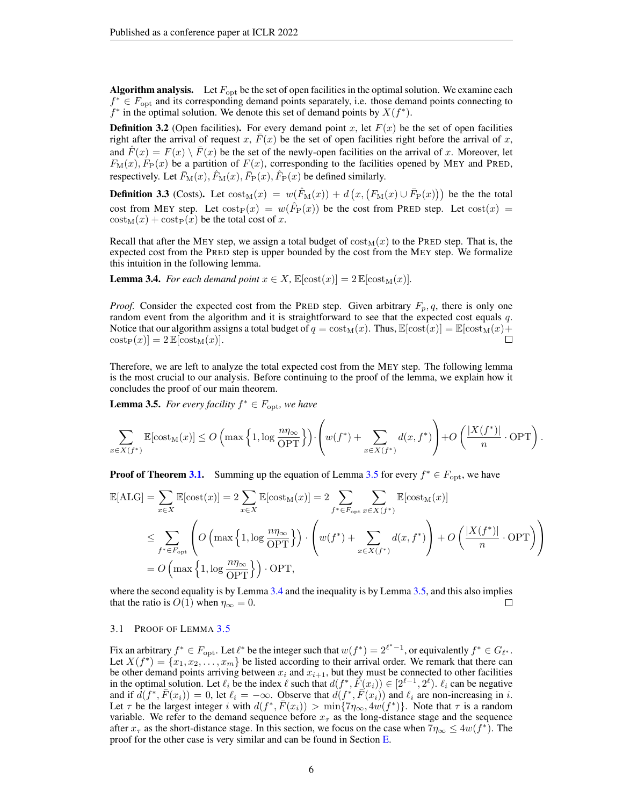**Algorithm analysis.** Let  $F_{\text{opt}}$  be the set of open facilities in the optimal solution. We examine each  $f^* \in F_{\text{opt}}$  and its corresponding demand points separately, i.e. those demand points connecting to  $f^*$  in the optimal solution. We denote this set of demand points by  $X(f^*)$ .

**Definition 3.2** (Open facilities). For every demand point x, let  $F(x)$  be the set of open facilities right after the arrival of request x,  $F(x)$  be the set of open facilities right before the arrival of x, and  $\overline{F}(x) = F(x) \setminus \overline{F}(x)$  be the set of the newly-open facilities on the arrival of x. Moreover, let  $F_{\text{M}}(x)$ ,  $F_{\text{P}}(x)$  be a partition of  $F(x)$ , corresponding to the facilities opened by MEY and PRED, respectively. Let  $\bar{F}_{\rm M}(x)$ ,  $\hat{F}_{\rm M}(x)$ ,  $\bar{F}_{\rm P}(x)$ ,  $\hat{F}_{\rm P}(x)$  be defined similarly.

**Definition 3.3** (Costs). Let  $\text{cost}_M(x) = w(\hat{F}_M(x)) + d(x, (F_M(x) \cup \bar{F}_P(x)))$  be the total cost from MEY step. Let  $\text{cost}_{P}(x) = w(\hat{F}_{P}(x))$  be the cost from PRED step. Let  $\text{cost}(x) =$  $\cot_M(x) + \cot_N(x)$  be the total cost of x.

Recall that after the MEY step, we assign a total budget of  $\cos t_M(x)$  to the PRED step. That is, the expected cost from the PRED step is upper bounded by the cost from the MEY step. We formalize this intuition in the following lemma.

<span id="page-5-1"></span>**Lemma 3.4.** *For each demand point*  $x \in X$ ,  $\mathbb{E}[\text{cost}(x)] = 2 \mathbb{E}[\text{cost}_M(x)]$ *.* 

*Proof.* Consider the expected cost from the PRED step. Given arbitrary  $F_p$ , q, there is only one random event from the algorithm and it is straightforward to see that the expected cost equals q. Notice that our algorithm assigns a total budget of  $q = \cosh(x)$ . Thus,  $\mathbb{E}[\cot(x)] = \mathbb{E}[\cot(x) +$  $\mathrm{cost}_{\mathrm{P}}(x)$ ] = 2  $\mathbb{E}[\mathrm{cost}_{\mathrm{M}}(x)].$ П

Therefore, we are left to analyze the total expected cost from the MEY step. The following lemma is the most crucial to our analysis. Before continuing to the proof of the lemma, we explain how it concludes the proof of our main theorem.

<span id="page-5-0"></span>**Lemma 3.5.** For every facility  $f^* \in F_{\text{opt}}$ , we have

$$
\sum_{x \in X(f^*)} \mathbb{E}[\text{cost}_M(x)] \le O\left(\max\left\{1, \log \frac{n\eta_{\infty}}{\text{OPT}}\right\}\right) \cdot \left(w(f^*) + \sum_{x \in X(f^*)} d(x, f^*)\right) + O\left(\frac{|X(f^*)|}{n} \cdot \text{OPT}\right)
$$

.

**Proof of Theorem [3.1.](#page-4-1)** Summing up the equation of Lemma [3.5](#page-5-0) for every  $f^* \in F_{\text{opt}}$ , we have

$$
\mathbb{E}[\text{ALG}] = \sum_{x \in X} \mathbb{E}[\text{cost}(x)] = 2 \sum_{x \in X} \mathbb{E}[\text{cost}_{\text{M}}(x)] = 2 \sum_{f^* \in F_{\text{opt}}} \sum_{x \in X(f^*)} \mathbb{E}[\text{cost}_{\text{M}}(x)]
$$
  
\n
$$
\leq \sum_{f^* \in F_{\text{opt}}} \left( O\left(\max\left\{1, \log \frac{n\eta_{\infty}}{\text{OPT}}\right\}\right) \cdot \left(w(f^*) + \sum_{x \in X(f^*)} d(x, f^*)\right) + O\left(\frac{|X(f^*)|}{n} \cdot \text{OPT}\right) \right)
$$
  
\n
$$
= O\left(\max\left\{1, \log \frac{n\eta_{\infty}}{\text{OPT}}\right\}\right) \cdot \text{OPT},
$$

where the second equality is by Lemma [3.4](#page-5-1) and the inequality is by Lemma [3.5,](#page-5-0) and this also implies that the ratio is  $O(1)$  when  $\eta_{\infty} = 0$ .  $\Box$ 

#### <span id="page-5-2"></span>3.1 PROOF OF LEMMA [3.5](#page-5-0)

Fix an arbitrary  $f^* \in F_{\text{opt}}$ . Let  $\ell^*$  be the integer such that  $w(f^*) = 2^{\ell^* - 1}$ , or equivalently  $f^* \in G_{\ell^*}$ . Let  $X(f^*) = \{x_1, x_2, \ldots, x_m\}$  be listed according to their arrival order. We remark that there can be other demand points arriving between  $x_i$  and  $x_{i+1}$ , but they must be connected to other facilities in the optimal solution. Let  $\ell_i$  be the index  $\ell$  such that  $d(f^*, \vec{F}(x_i)) \in [2^{\ell-1}, 2^{\ell})$ .  $\ell_i$  can be negative and if  $d(f^*, \overline{F}(x_i)) = 0$ , let  $\ell_i = -\infty$ . Observe that  $d(f^*, \overline{F}(x_i))$  and  $\ell_i$  are non-increasing in i. Let  $\tau$  be the largest integer i with  $d(f^*, \bar{F}(x_i)) > \min\{7\eta_{\infty}, 4w(f^*)\}$ . Note that  $\tau$  is a random variable. We refer to the demand sequence before  $x<sub>\tau</sub>$  as the long-distance stage and the sequence after  $x_{\tau}$  as the short-distance stage. In this section, we focus on the case when  $7\eta_{\infty} \le 4w(f^*)$ . The proof for the other case is very similar and can be found in Section [E.](#page-14-0)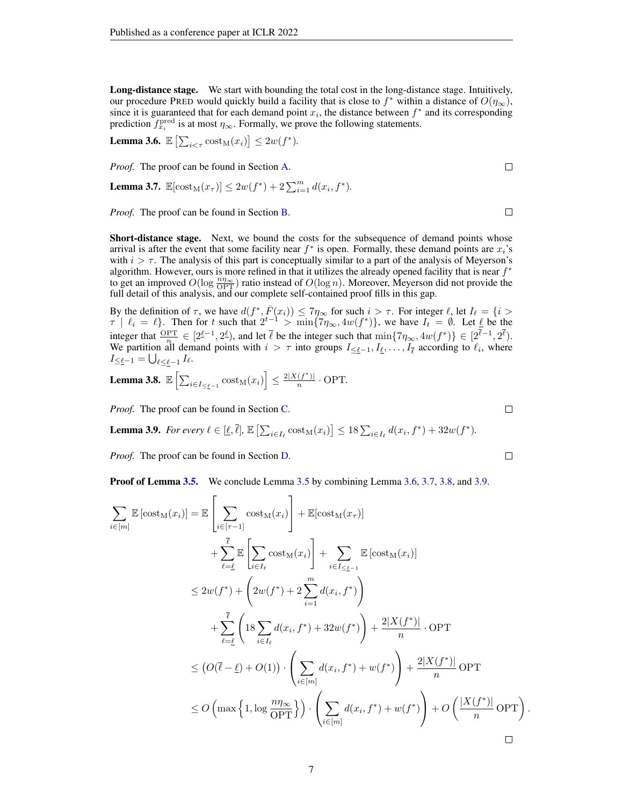Long-distance stage. We start with bounding the total cost in the long-distance stage. Intuitively, our procedure PRED would quickly build a facility that is close to  $f^*$  within a distance of  $O(\eta_{\infty})$ , since it is guaranteed that for each demand point  $x_i$ , the distance between  $f^*$  and its corresponding prediction  $f_{x_i}^{\text{pred}}$  is at most  $\eta_{\infty}$ . Formally, we prove the following statements.

<span id="page-6-0"></span>**Lemma 3.6.**  $\mathbb{E}\left[\sum_{i \leq \tau} \text{cost}_M(x_i)\right] \leq 2w(f^*)$ .

*Proof.* The proof can be found in Section [A.](#page-10-13)

<span id="page-6-1"></span>**Lemma 3.7.**  $\mathbb{E}[\text{cost}_M(x_\tau)] \leq 2w(f^*) + 2\sum_{i=1}^m d(x_i, f^*).$ 

*Proof.* The proof can be found in Section [B.](#page-11-0)

Short-distance stage. Next, we bound the costs for the subsequence of demand points whose arrival is after the event that some facility near  $f^*$  is open. Formally, these demand points are  $x_i$ 's with  $i > \tau$ . The analysis of this part is conceptually similar to a part of the analysis of Meyerson's algorithm. However, ours is more refined in that it utilizes the already opened facility that is near  $f^*$ to get an improved  $O(\log \frac{n\eta_{\infty}}{\text{OPT}})$  ratio instead of  $O(\log n)$ . Moreover, Meyerson did not provide the full detail of this analysis, and our complete self-contained proof fills in this gap.

By the definition of  $\tau$ , we have  $d(f^*, \overline{F}(x_i)) \leq 7\eta_{\infty}$  for such  $i > \tau$ . For integer  $\ell$ , let  $I_{\ell} = \{i >$  $\tau \mid \ell_i = \ell$ . Then for t such that  $2^{t-1} > \min\{7\eta_{\infty}, 4w(f^*)\}$ , we have  $I_t = \emptyset$ . Let  $\underline{\ell}$  be the integer that  $\frac{\text{OPT}}{n} \in [2^{\ell-1}, 2^{\ell})$ , and let  $\overline{\ell}$  be the integer such that  $\min\{7\eta_{\infty}, 4w(f^*)\} \in [2^{\ell-1}, 2^{\ell})$ . We partition all demand points with  $i > \tau$  into groups  $I_{\leq \ell-1}, I_{\ell}, \ldots, I_{\overline{\ell}}$  according to  $\ell_i$ , where  $I_{\leq \underline{\ell}-1} = \bigcup_{\ell \leq \underline{\ell}-1} I_{\ell}.$ 

<span id="page-6-2"></span>**Lemma 3.8.** 
$$
\mathbb{E}\left[\sum_{i\in I_{\leq \underline{\ell}-1}} \mathrm{cost}_M(x_i)\right] \leq \frac{2|X(f^*)|}{n} \cdot \mathrm{OPT}.
$$

*Proof.* The proof can be found in Section [C.](#page-12-0)

<span id="page-6-3"></span>**Lemma 3.9.** For every  $\ell \in [\underline{\ell}, \overline{\ell}], \mathbb{E} \left[ \sum_{i \in I_{\ell}} \text{cost}_{M}(x_i) \right] \leq 18 \sum_{i \in I_{\ell}} d(x_i, f^*) + 32w(f^*).$ 

*Proof.* The proof can be found in Section [D.](#page-12-1)

**Proof of Lemma [3.5.](#page-5-0)** We conclude Lemma [3.5](#page-5-0) by combining Lemma [3.6,](#page-6-0) [3.7,](#page-6-1) [3.8,](#page-6-2) and [3.9.](#page-6-3)

$$
\sum_{i \in [m]} \mathbb{E} \left[ \operatorname{cost}_{M}(x_{i}) \right] = \mathbb{E} \left[ \sum_{i \in [r-1]} \operatorname{cost}_{M}(x_{i}) \right] + \mathbb{E} [\operatorname{cost}_{M}(x_{r})]
$$
\n
$$
+ \sum_{\ell=\underline{\ell}}^{\overline{\ell}} \mathbb{E} \left[ \sum_{i \in I_{\ell}} \operatorname{cost}_{M}(x_{i}) \right] + \sum_{i \in I_{\leq \underline{\ell}-1}} \mathbb{E} \left[ \operatorname{cost}_{M}(x_{i}) \right]
$$
\n
$$
\leq 2w(f^{*}) + \left( 2w(f^{*}) + 2 \sum_{i=1}^{m} d(x_{i}, f^{*}) \right)
$$
\n
$$
+ \sum_{\ell=\underline{\ell}}^{\overline{\ell}} \left( 18 \sum_{i \in I_{\ell}} d(x_{i}, f^{*}) + 32w(f^{*}) \right) + \frac{2|X(f^{*})|}{n} \cdot \text{OPT}
$$
\n
$$
\leq (O(\overline{\ell} - \underline{\ell}) + O(1)) \cdot \left( \sum_{i \in [m]} d(x_{i}, f^{*}) + w(f^{*}) \right) + \frac{2|X(f^{*})|}{n} \text{OPT}
$$
\n
$$
\leq O \left( \max \left\{ 1, \log \frac{n\eta_{\infty}}{\text{OPT}} \right\} \right) \cdot \left( \sum_{i \in [m]} d(x_{i}, f^{*}) + w(f^{*}) \right) + O \left( \frac{|X(f^{*})|}{n} \text{OPT} \right).
$$

 $\Box$ 

 $\Box$ 

 $\Box$ 

 $\Box$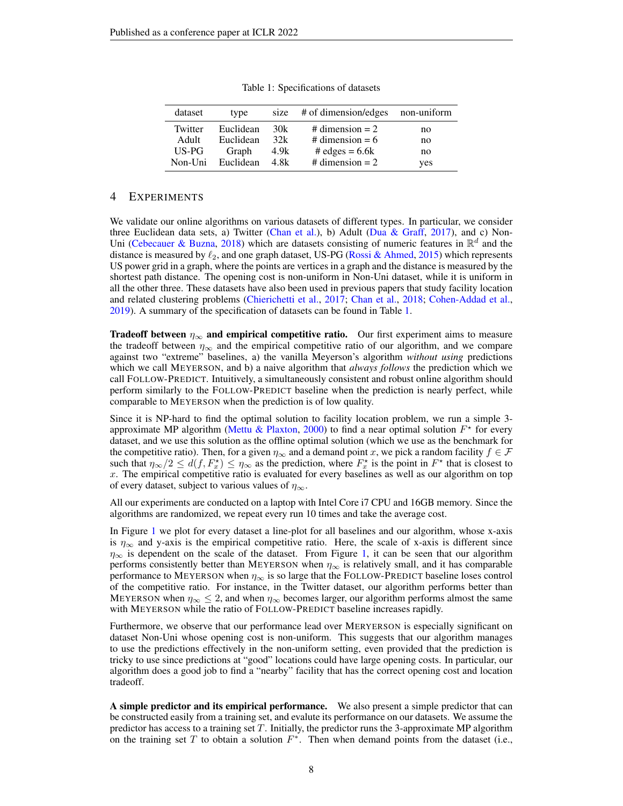<span id="page-7-0"></span>

| dataset | type      |      | size # of dimension/edges non-uniform |     |
|---------|-----------|------|---------------------------------------|-----|
| Twitter | Euclidean | 30k  | # dimension $= 2$                     | no  |
| Adult   | Euclidean | 32k  | # dimension = $6$                     | no  |
| US-PG   | Graph     | 4.9k | # edges = $6.6k$                      | no  |
| Non-Uni | Euclidean | 4 8k | # dimension $= 2$                     | yes |

Table 1: Specifications of datasets

### 4 EXPERIMENTS

We validate our online algorithms on various datasets of different types. In particular, we consider three Euclidean data sets, a) Twitter [\(Chan et al.\)](#page-9-12), b) Adult [\(Dua & Graff,](#page-9-13) [2017\)](#page-9-13), and c) Non-Uni [\(Cebecauer & Buzna,](#page-9-14) [2018\)](#page-9-14) which are datasets consisting of numeric features in  $\mathbb{R}^d$  and the distance is measured by  $\ell_2$ , and one graph dataset, US-PG [\(Rossi & Ahmed,](#page-10-14) [2015\)](#page-10-14) which represents US power grid in a graph, where the points are vertices in a graph and the distance is measured by the shortest path distance. The opening cost is non-uniform in Non-Uni dataset, while it is uniform in all the other three. These datasets have also been used in previous papers that study facility location and related clustering problems [\(Chierichetti et al.,](#page-9-15) [2017;](#page-9-15) [Chan et al.,](#page-9-16) [2018;](#page-9-16) [Cohen-Addad et al.,](#page-9-17) [2019\)](#page-9-17). A summary of the specification of datasets can be found in Table [1.](#page-7-0)

**Tradeoff between**  $\eta_{\infty}$  and empirical competitive ratio. Our first experiment aims to measure the tradeoff between  $\eta_{\infty}$  and the empirical competitive ratio of our algorithm, and we compare against two "extreme" baselines, a) the vanilla Meyerson's algorithm *without using* predictions which we call MEYERSON, and b) a naive algorithm that *always follows* the prediction which we call FOLLOW-PREDICT. Intuitively, a simultaneously consistent and robust online algorithm should perform similarly to the FOLLOW-PREDICT baseline when the prediction is nearly perfect, while comparable to MEYERSON when the prediction is of low quality.

Since it is NP-hard to find the optimal solution to facility location problem, we run a simple 3- approximate MP algorithm [\(Mettu & Plaxton,](#page-10-15) [2000\)](#page-10-15) to find a near optimal solution  $F^*$  for every dataset, and we use this solution as the offline optimal solution (which we use as the benchmark for the competitive ratio). Then, for a given  $\eta_{\infty}$  and a demand point x, we pick a random facility  $f \in \mathcal{F}$ such that  $\eta_{\infty}/2 \leq d(f, F_x^{\star}) \leq \eta_{\infty}$  as the prediction, where  $F_x^{\star}$  is the point in  $F^{\star}$  that is closest to  $x$ . The empirical competitive ratio is evaluated for every baselines as well as our algorithm on top of every dataset, subject to various values of  $\eta_{\infty}$ .

All our experiments are conducted on a laptop with Intel Core i7 CPU and 16GB memory. Since the algorithms are randomized, we repeat every run 10 times and take the average cost.

In Figure [1](#page-8-0) we plot for every dataset a line-plot for all baselines and our algorithm, whose x-axis is  $\eta_{\infty}$  and y-axis is the empirical competitive ratio. Here, the scale of x-axis is different since  $\eta_{\infty}$  is dependent on the scale of the dataset. From Figure [1,](#page-8-0) it can be seen that our algorithm performs consistently better than MEYERSON when  $\eta_{\infty}$  is relatively small, and it has comparable performance to MEYERSON when  $\eta_{\infty}$  is so large that the FOLLOW-PREDICT baseline loses control of the competitive ratio. For instance, in the Twitter dataset, our algorithm performs better than MEYERSON when  $\eta_{\infty} \leq 2$ , and when  $\eta_{\infty}$  becomes larger, our algorithm performs almost the same with MEYERSON while the ratio of FOLLOW-PREDICT baseline increases rapidly.

Furthermore, we observe that our performance lead over MERYERSON is especially significant on dataset Non-Uni whose opening cost is non-uniform. This suggests that our algorithm manages to use the predictions effectively in the non-uniform setting, even provided that the prediction is tricky to use since predictions at "good" locations could have large opening costs. In particular, our algorithm does a good job to find a "nearby" facility that has the correct opening cost and location tradeoff.

A simple predictor and its empirical performance. We also present a simple predictor that can be constructed easily from a training set, and evalute its performance on our datasets. We assume the predictor has access to a training set T. Initially, the predictor runs the 3-approximate MP algorithm on the training set T to obtain a solution  $F^*$ . Then when demand points from the dataset (i.e.,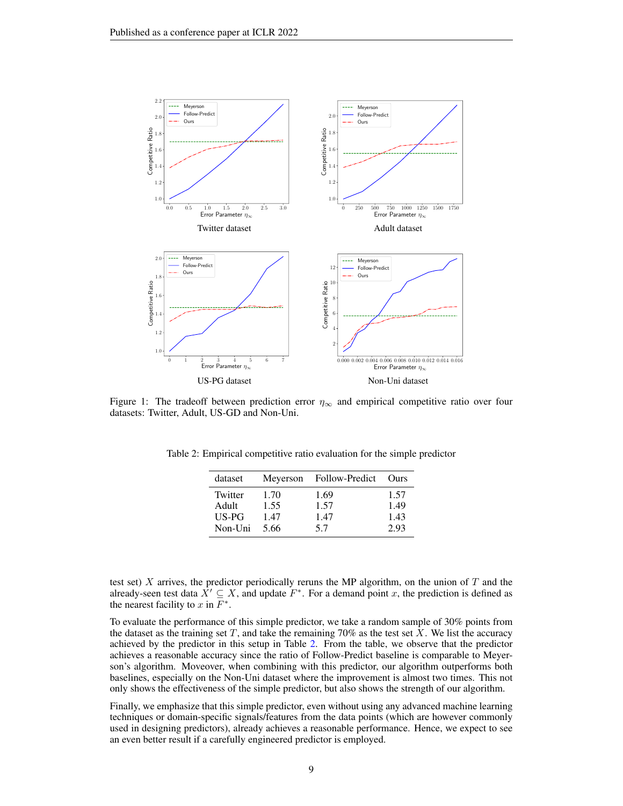<span id="page-8-0"></span>

<span id="page-8-1"></span>Figure 1: The tradeoff between prediction error  $\eta_{\infty}$  and empirical competitive ratio over four datasets: Twitter, Adult, US-GD and Non-Uni.

| dataset | Meyerson | Follow-Predict | Ours |
|---------|----------|----------------|------|
| Twitter | 1.70     | 1.69           | 1.57 |
| Adult   | 1.55     | 1.57           | 1.49 |
| US-PG   | 1.47     | 1.47           | 1.43 |
| Non-Uni | 5.66     | 57             | 2.93 |

Table 2: Empirical competitive ratio evaluation for the simple predictor

test set)  $X$  arrives, the predictor periodically reruns the MP algorithm, on the union of  $T$  and the already-seen test data  $\hat{X}' \subseteq X$ , and update  $F^*$ . For a demand point x, the prediction is defined as the nearest facility to x in  $F^*$ .

To evaluate the performance of this simple predictor, we take a random sample of 30% points from the dataset as the training set  $T$ , and take the remaining 70% as the test set  $X$ . We list the accuracy achieved by the predictor in this setup in Table [2.](#page-8-1) From the table, we observe that the predictor achieves a reasonable accuracy since the ratio of Follow-Predict baseline is comparable to Meyerson's algorithm. Moveover, when combining with this predictor, our algorithm outperforms both baselines, especially on the Non-Uni dataset where the improvement is almost two times. This not only shows the effectiveness of the simple predictor, but also shows the strength of our algorithm.

Finally, we emphasize that this simple predictor, even without using any advanced machine learning techniques or domain-specific signals/features from the data points (which are however commonly used in designing predictors), already achieves a reasonable performance. Hence, we expect to see an even better result if a carefully engineered predictor is employed.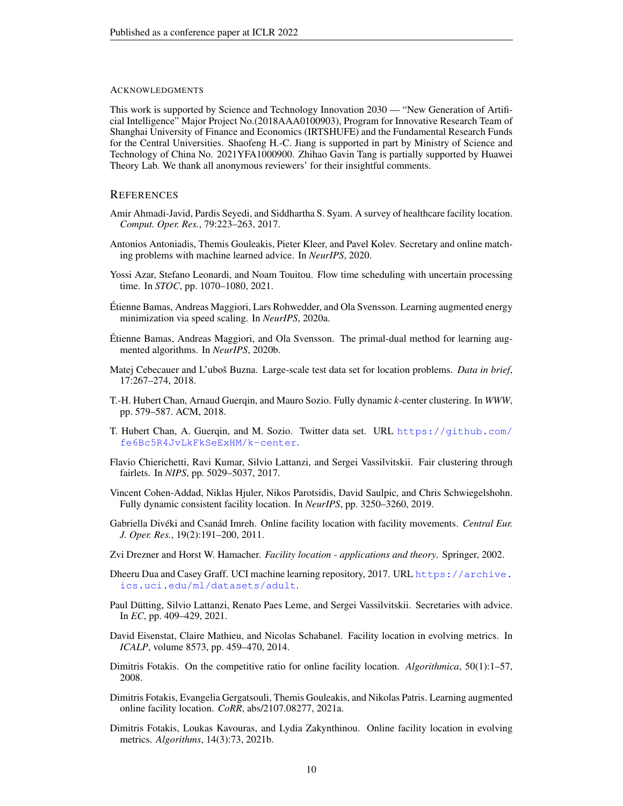#### ACKNOWLEDGMENTS

This work is supported by Science and Technology Innovation 2030 — "New Generation of Artificial Intelligence" Major Project No.(2018AAA0100903), Program for Innovative Research Team of Shanghai University of Finance and Economics (IRTSHUFE) and the Fundamental Research Funds for the Central Universities. Shaofeng H.-C. Jiang is supported in part by Ministry of Science and Technology of China No. 2021YFA1000900. Zhihao Gavin Tang is partially supported by Huawei Theory Lab. We thank all anonymous reviewers' for their insightful comments.

#### **REFERENCES**

- <span id="page-9-0"></span>Amir Ahmadi-Javid, Pardis Seyedi, and Siddhartha S. Syam. A survey of healthcare facility location. *Comput. Oper. Res.*, 79:223–263, 2017.
- <span id="page-9-9"></span>Antonios Antoniadis, Themis Gouleakis, Pieter Kleer, and Pavel Kolev. Secretary and online matching problems with machine learned advice. In *NeurIPS*, 2020.
- <span id="page-9-11"></span>Yossi Azar, Stefano Leonardi, and Noam Touitou. Flow time scheduling with uncertain processing time. In *STOC*, pp. 1070–1080, 2021.
- <span id="page-9-8"></span>Etienne Bamas, Andreas Maggiori, Lars Rohwedder, and Ola Svensson. Learning augmented energy ´ minimization via speed scaling. In *NeurIPS*, 2020a.
- <span id="page-9-5"></span>Etienne Bamas, Andreas Maggiori, and Ola Svensson. The primal-dual method for learning aug- ´ mented algorithms. In *NeurIPS*, 2020b.
- <span id="page-9-14"></span>Matej Cebecauer and L'uboš Buzna. Large-scale test data set for location problems. *Data in brief*, 17:267–274, 2018.
- <span id="page-9-16"></span>T.-H. Hubert Chan, Arnaud Guerqin, and Mauro Sozio. Fully dynamic *k*-center clustering. In *WWW*, pp. 579–587. ACM, 2018.
- <span id="page-9-12"></span>T. Hubert Chan, A. Guerqin, and M. Sozio. Twitter data set. URL [https://github.com/](https://github.com/fe6Bc5R4JvLkFkSeExHM/k-center) [fe6Bc5R4JvLkFkSeExHM/k-center](https://github.com/fe6Bc5R4JvLkFkSeExHM/k-center).
- <span id="page-9-15"></span>Flavio Chierichetti, Ravi Kumar, Silvio Lattanzi, and Sergei Vassilvitskii. Fair clustering through fairlets. In *NIPS*, pp. 5029–5037, 2017.
- <span id="page-9-17"></span>Vincent Cohen-Addad, Niklas Hjuler, Nikos Parotsidis, David Saulpic, and Chris Schwiegelshohn. Fully dynamic consistent facility location. In *NeurIPS*, pp. 3250–3260, 2019.
- <span id="page-9-4"></span>Gabriella Divéki and Csanád Imreh. Online facility location with facility movements. *Central Eur. J. Oper. Res.*, 19(2):191–200, 2011.
- <span id="page-9-1"></span>Zvi Drezner and Horst W. Hamacher. *Facility location - applications and theory*. Springer, 2002.
- <span id="page-9-13"></span>Dheeru Dua and Casey Graff. UCI machine learning repository, 2017. URL [https://archive.](https://archive.ics.uci.edu/ml/datasets/adult) [ics.uci.edu/ml/datasets/adult](https://archive.ics.uci.edu/ml/datasets/adult).
- <span id="page-9-10"></span>Paul Dütting, Silvio Lattanzi, Renato Paes Leme, and Sergei Vassilvitskii. Secretaries with advice. In *EC*, pp. 409–429, 2021.
- <span id="page-9-6"></span>David Eisenstat, Claire Mathieu, and Nicolas Schabanel. Facility location in evolving metrics. In *ICALP*, volume 8573, pp. 459–470, 2014.
- <span id="page-9-2"></span>Dimitris Fotakis. On the competitive ratio for online facility location. *Algorithmica*, 50(1):1–57, 2008.
- <span id="page-9-3"></span>Dimitris Fotakis, Evangelia Gergatsouli, Themis Gouleakis, and Nikolas Patris. Learning augmented online facility location. *CoRR*, abs/2107.08277, 2021a.
- <span id="page-9-7"></span>Dimitris Fotakis, Loukas Kavouras, and Lydia Zakynthinou. Online facility location in evolving metrics. *Algorithms*, 14(3):73, 2021b.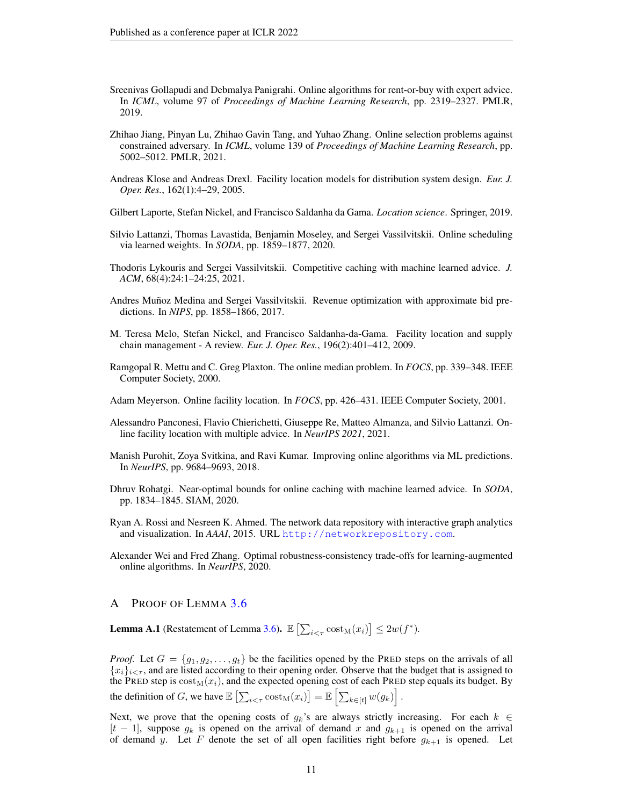- <span id="page-10-6"></span>Sreenivas Gollapudi and Debmalya Panigrahi. Online algorithms for rent-or-buy with expert advice. In *ICML*, volume 97 of *Proceedings of Machine Learning Research*, pp. 2319–2327. PMLR, 2019.
- <span id="page-10-11"></span>Zhihao Jiang, Pinyan Lu, Zhihao Gavin Tang, and Yuhao Zhang. Online selection problems against constrained adversary. In *ICML*, volume 139 of *Proceedings of Machine Learning Research*, pp. 5002–5012. PMLR, 2021.
- <span id="page-10-1"></span>Andreas Klose and Andreas Drexl. Facility location models for distribution system design. *Eur. J. Oper. Res.*, 162(1):4–29, 2005.
- <span id="page-10-2"></span>Gilbert Laporte, Stefan Nickel, and Francisco Saldanha da Gama. *Location science*. Springer, 2019.
- <span id="page-10-12"></span>Silvio Lattanzi, Thomas Lavastida, Benjamin Moseley, and Sergei Vassilvitskii. Online scheduling via learned weights. In *SODA*, pp. 1859–1877, 2020.
- <span id="page-10-4"></span>Thodoris Lykouris and Sergei Vassilvitskii. Competitive caching with machine learned advice. *J. ACM*, 68(4):24:1–24:25, 2021.
- <span id="page-10-7"></span>Andres Muñoz Medina and Sergei Vassilvitskii. Revenue optimization with approximate bid predictions. In *NIPS*, pp. 1858–1866, 2017.
- <span id="page-10-0"></span>M. Teresa Melo, Stefan Nickel, and Francisco Saldanha-da-Gama. Facility location and supply chain management - A review. *Eur. J. Oper. Res.*, 196(2):401–412, 2009.
- <span id="page-10-15"></span>Ramgopal R. Mettu and C. Greg Plaxton. The online median problem. In *FOCS*, pp. 339–348. IEEE Computer Society, 2000.
- <span id="page-10-8"></span>Adam Meyerson. Online facility location. In *FOCS*, pp. 426–431. IEEE Computer Society, 2001.
- <span id="page-10-9"></span>Alessandro Panconesi, Flavio Chierichetti, Giuseppe Re, Matteo Almanza, and Silvio Lattanzi. Online facility location with multiple advice. In *NeurIPS 2021*, 2021.
- <span id="page-10-5"></span>Manish Purohit, Zoya Svitkina, and Ravi Kumar. Improving online algorithms via ML predictions. In *NeurIPS*, pp. 9684–9693, 2018.
- <span id="page-10-3"></span>Dhruv Rohatgi. Near-optimal bounds for online caching with machine learned advice. In *SODA*, pp. 1834–1845. SIAM, 2020.
- <span id="page-10-14"></span>Ryan A. Rossi and Nesreen K. Ahmed. The network data repository with interactive graph analytics and visualization. In *AAAI*, 2015. URL <http://networkrepository.com>.
- <span id="page-10-10"></span>Alexander Wei and Fred Zhang. Optimal robustness-consistency trade-offs for learning-augmented online algorithms. In *NeurIPS*, 2020.

#### <span id="page-10-13"></span>A PROOF OF LEMMA [3.6](#page-6-0)

**Lemma A.1** (Restatement of Lemma [3.6\)](#page-6-0).  $\mathbb{E}\left[\sum_{i \leq \tau} \text{cost}_M(x_i)\right] \leq 2w(f^*)$ .

*Proof.* Let  $G = \{g_1, g_2, \ldots, g_t\}$  be the facilities opened by the PRED steps on the arrivals of all  ${x_i}_{i \leq \tau}$ , and are listed according to their opening order. Observe that the budget that is assigned to the PRED step is  $cost<sub>M</sub>(x<sub>i</sub>)$ , and the expected opening cost of each PRED step equals its budget. By the definition of G, we have  $\mathbb{E}\left[\sum_{i \leq \tau} \text{cost}_M(x_i)\right] = \mathbb{E}\left[\sum_{k \in [t]} w(g_k)\right]$ .

Next, we prove that the opening costs of  $g_k$ 's are always strictly increasing. For each  $k \in$  $[t-1]$ , suppose  $g_k$  is opened on the arrival of demand x and  $g_{k+1}$  is opened on the arrival of demand y. Let F denote the set of all open facilities right before  $g_{k+1}$  is opened. Let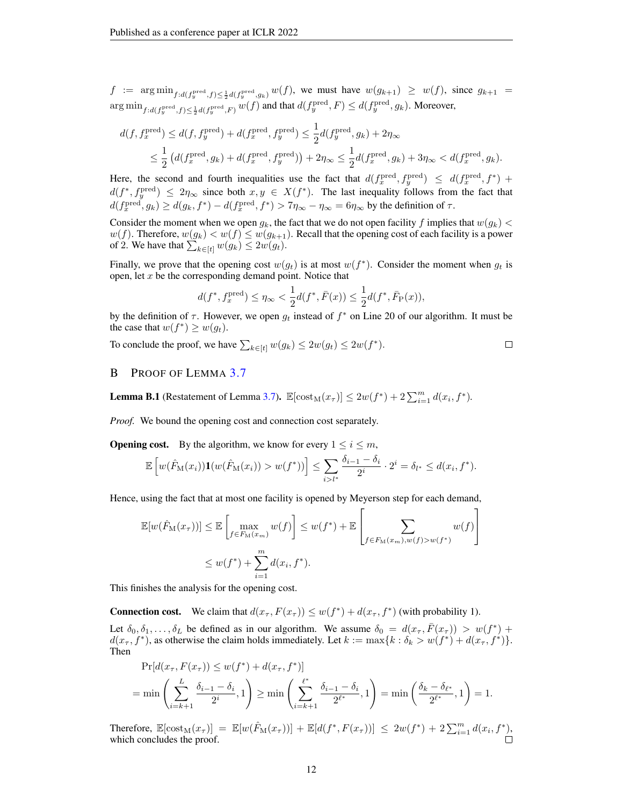$f := \arg \min_{f:d(f_y^{\text{pred}},f) \leq \frac{1}{2}d(f_y^{\text{pred}},g_k)} w(f)$ , we must have  $w(g_{k+1}) \geq w(f)$ , since  $g_{k+1} =$  $\argmin_{f:d(f_y^{\text{pred}},f) \leq \frac{1}{2}d(f_y^{\text{pred}},F)} w(f)$  and that  $d(f_y^{\text{pred}},F) \leq d(f_y^{\text{pred}},g_k)$ . Moreover,

$$
d(f, f_x^{\text{pred}}) \le d(f, f_y^{\text{pred}}) + d(f_x^{\text{pred}}, f_y^{\text{pred}}) \le \frac{1}{2} d(f_y^{\text{pred}}, g_k) + 2\eta_{\infty}
$$
  

$$
\le \frac{1}{2} (d(f_x^{\text{pred}}, g_k) + d(f_x^{\text{pred}}, f_y^{\text{pred}})) + 2\eta_{\infty} \le \frac{1}{2} d(f_x^{\text{pred}}, g_k) + 3\eta_{\infty} < d(f_x^{\text{pred}}, g_k).
$$

Here, the second and fourth inequalities use the fact that  $d(f_x^{\text{pred}}, f_y^{\text{pred}}) \leq d(f_x^{\text{pred}}, f^*)$  +  $d(f^*, f_y^{\text{pred}}) \leq 2\eta_{\infty}$  since both  $x, y \in X(f^*)$ . The last inequality follows from the fact that  $d(f_x^{\text{pred}}, g_k) \geq d(g_k, f^*) - d(f_x^{\text{pred}}, f^*) > 7\eta_\infty - \eta_\infty = 6\eta_\infty$  by the definition of  $\tau$ .

Consider the moment when we open  $g_k$ , the fact that we do not open facility f implies that  $w(g_k)$  <  $w(f)$ . Therefore,  $w(g_k) < w(f) \leq w(g_{k+1})$ . Recall that the opening cost of each facility is a power of 2. We have that  $\sum_{k \in [t]} w(g_k) \leq 2w(g_t)$ .

Finally, we prove that the opening cost  $w(g_t)$  is at most  $w(f^*)$ . Consider the moment when  $g_t$  is open, let  $x$  be the corresponding demand point. Notice that

$$
d(f^*, f_x^{\text{pred}}) \le \eta_\infty < \frac{1}{2}d(f^*, \bar{F}(x)) \le \frac{1}{2}d(f^*, \bar{F}_P(x)),
$$

by the definition of  $\tau$ . However, we open  $g_t$  instead of  $f^*$  on Line 20 of our algorithm. It must be the case that  $w(f^*) \geq w(g_t)$ .

To conclude the proof, we have  $\sum_{k \in [t]} w(g_k) \leq 2w(g_t) \leq 2w(f^*)$ .  $\Box$ 

### <span id="page-11-0"></span>B PROOF OF LEMMA [3.7](#page-6-1)

**Lemma B.1** (Restatement of Lemma [3.7\)](#page-6-1).  $\mathbb{E}[\text{cost}_M(x_\tau)] \leq 2w(f^*) + 2\sum_{i=1}^m d(x_i, f^*)$ .

*Proof.* We bound the opening cost and connection cost separately.

**Opening cost.** By the algorithm, we know for every  $1 \leq i \leq m$ ,

$$
\mathbb{E}\left[w(\hat{F}_{\mathcal{M}}(x_i))\mathbf{1}(w(\hat{F}_{\mathcal{M}}(x_i)) > w(f^*))\right] \leq \sum_{i>l^*} \frac{\delta_{i-1} - \delta_i}{2^i} \cdot 2^i = \delta_{l^*} \leq d(x_i, f^*).
$$

Hence, using the fact that at most one facility is opened by Meyerson step for each demand,

$$
\mathbb{E}[w(\hat{F}_{\mathcal{M}}(x_{\tau}))] \leq \mathbb{E}\left[\max_{f \in F_{\mathcal{M}}(x_m)} w(f)\right] \leq w(f^*) + \mathbb{E}\left[\sum_{f \in F_{\mathcal{M}}(x_m), w(f) > w(f^*)} w(f)\right]
$$
  

$$
\leq w(f^*) + \sum_{i=1}^m d(x_i, f^*).
$$

This finishes the analysis for the opening cost.

**Connection cost.** We claim that  $d(x_\tau, F(x_\tau)) \leq w(f^*) + d(x_\tau, f^*)$  (with probability 1).

Let  $\delta_0, \delta_1, \ldots, \delta_L$  be defined as in our algorithm. We assume  $\delta_0 = d(x_\tau, \bar{F}(x_\tau)) > w(f^*)$  +  $d(x_\tau, f^*)$ , as otherwise the claim holds immediately. Let  $k := \max\{k : \delta_k > w(f^*) + d(x_\tau, f^*)\}.$ Then

$$
\Pr[d(x_{\tau}, F(x_{\tau})) \le w(f^*) + d(x_{\tau}, f^*)]
$$
  
= min  $\left(\sum_{i=k+1}^{L} \frac{\delta_{i-1} - \delta_i}{2^i}, 1\right) \ge \min\left(\sum_{i=k+1}^{\ell^*} \frac{\delta_{i-1} - \delta_i}{2^{\ell^*}}, 1\right) = \min\left(\frac{\delta_k - \delta_{\ell^*}}{2^{\ell^*}}, 1\right) = 1.$ 

Therefore,  $\mathbb{E}[\text{cost}_M(x_\tau)] = \mathbb{E}[w(\hat{F}_M(x_\tau))] + \mathbb{E}[d(f^*, F(x_\tau))] \leq 2w(f^*) + 2\sum_{i=1}^m d(x_i, f^*)$ which concludes the proof.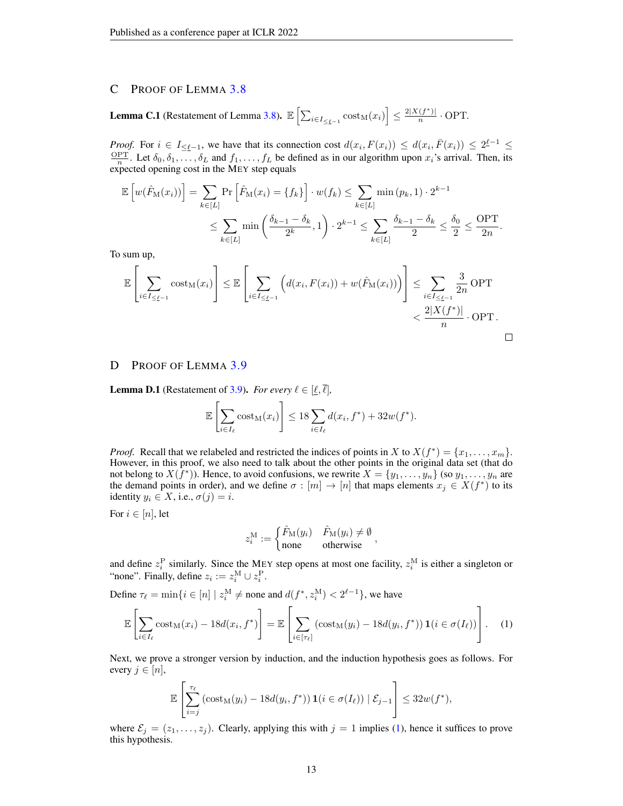### <span id="page-12-0"></span>C PROOF OF LEMMA [3.8](#page-6-2)

**Lemma C.1** (Restatement of Lemma [3.8\)](#page-6-2).  $\mathbb{E}\left[\sum_{i\in I_{\leq \underline{\ell}-1}} \mathrm{cost}_M(x_i)\right] \leq \frac{2|X(f^*)|}{n}$  $\frac{(J-) \cdot 1}{n} \cdot \text{OPT}$ .

*Proof.* For  $i \in I_{\leq \underline{\ell}-1}$ , we have that its connection cost  $d(x_i, F(x_i)) \leq d(x_i, \overline{F}(x_i)) \leq 2^{\underline{\ell}-1} \leq$  $\frac{\text{OPT}}{n}$ . Let  $\delta_0, \delta_1, \ldots, \delta_L$  and  $f_1, \ldots, f_L$  be defined as in our algorithm upon  $x_i$ 's arrival. Then, its expected opening cost in the MEY step equals

$$
\mathbb{E}\left[w(\hat{F}_{\mathcal{M}}(x_i))\right] = \sum_{k\in[L]} \Pr\left[\hat{F}_{\mathcal{M}}(x_i) = \{f_k\}\right] \cdot w(f_k) \le \sum_{k\in[L]} \min(p_k, 1) \cdot 2^{k-1}
$$

$$
\le \sum_{k\in[L]} \min\left(\frac{\delta_{k-1} - \delta_k}{2^k}, 1\right) \cdot 2^{k-1} \le \sum_{k\in[L]} \frac{\delta_{k-1} - \delta_k}{2} \le \frac{\delta_0}{2} \le \frac{\text{OPT}}{2n}.
$$

To sum up,

$$
\mathbb{E}\left[\sum_{i\in I_{\leq \underline{\ell}-1}} \mathrm{cost}_M(x_i)\right] \leq \mathbb{E}\left[\sum_{i\in I_{\leq \underline{\ell}-1}} \left(d(x_i, F(x_i)) + w(\hat{F}_M(x_i))\right)\right] \leq \sum_{i\in I_{\leq \underline{\ell}-1}} \frac{3}{2n} \mathrm{OPT} \leq \frac{2|X(f^*)|}{n} \cdot \mathrm{OPT}.
$$

### <span id="page-12-1"></span>D PROOF OF LEMMA [3.9](#page-6-3)

**Lemma D.1** (Restatement of [3.9\)](#page-6-3). *For every*  $\ell \in [\underline{\ell}, \overline{\ell}]$ ,

$$
\mathbb{E}\left[\sum_{i\in I_{\ell}} \mathrm{cost}_{\mathrm{M}}(x_i)\right] \leq 18 \sum_{i\in I_{\ell}} d(x_i, f^*) + 32w(f^*).
$$

*Proof.* Recall that we relabeled and restricted the indices of points in X to  $X(f^*) = \{x_1, \ldots, x_m\}$ . However, in this proof, we also need to talk about the other points in the original data set (that do not belong to  $X(\hat{f}^*)$ ). Hence, to avoid confusions, we rewrite  $X = \{y_1, \ldots, y_n\}$  (so  $y_1, \ldots, y_n$  are the demand points in order), and we define  $\sigma : [m] \to [n]$  that maps elements  $x_j \in X(f^*)$  to its identity  $y_i \in X$ , i.e.,  $\sigma(j) = i$ .

For  $i \in [n]$ , let

$$
z_i^{\mathrm{M}} := \begin{cases} \hat{F}_{\mathrm{M}}(y_i) & \hat{F}_{\mathrm{M}}(y_i) \neq \emptyset \\ \text{none} & \text{otherwise} \end{cases},
$$

and define  $z_i^P$  similarly. Since the MEY step opens at most one facility,  $z_i^M$  is either a singleton or "none". Finally, define  $z_i := z_i^{\text{M}} \cup z_i^{\text{P}}$ .

Define  $\tau_{\ell} = \min\{i \in [n] \mid z_i^M \neq \text{none} \text{ and } d(f^*, z_i^M) < 2^{\ell-1}\},\text{ we have}$ 

<span id="page-12-2"></span>
$$
\mathbb{E}\left[\sum_{i\in I_{\ell}}\mathrm{cost}_{\mathrm{M}}(x_{i})-18d(x_{i},f^{*})\right]=\mathbb{E}\left[\sum_{i\in[\tau_{\ell}]}\left(\mathrm{cost}_{\mathrm{M}}(y_{i})-18d(y_{i},f^{*})\right)\mathbf{1}(i\in\sigma(I_{\ell}))\right].
$$
 (1)

Next, we prove a stronger version by induction, and the induction hypothesis goes as follows. For every  $j \in [n]$ ,

$$
\mathbb{E}\left[\sum_{i=j}^{\tau_{\ell}}\left(\mathrm{cost}_{\mathrm{M}}(y_i)-18d(y_i,f^*)\right)\mathbf{1}(i \in \sigma(I_{\ell})) \mid \mathcal{E}_{j-1}\right] \leq 32w(f^*),
$$

where  $\mathcal{E}_j = (z_1, \ldots, z_j)$ . Clearly, applying this with  $j = 1$  implies [\(1\)](#page-12-2), hence it suffices to prove this hypothesis.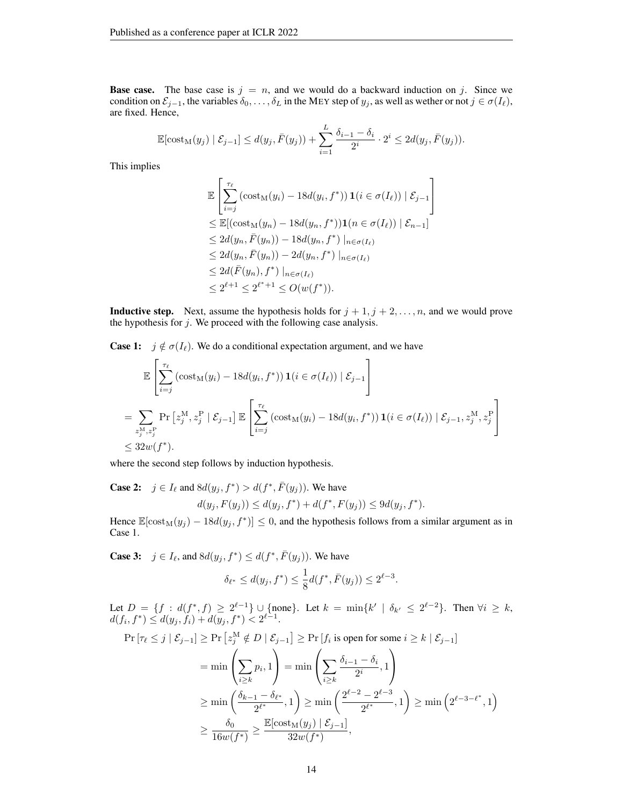**Base case.** The base case is  $j = n$ , and we would do a backward induction on j. Since we condition on  $\mathcal{E}_{j-1}$ , the variables  $\delta_0, \ldots, \delta_L$  in the MEY step of  $y_j$ , as well as wether or not  $j \in \sigma(I_\ell)$ , are fixed. Hence,

$$
\mathbb{E}[\text{cost}_{M}(y_{j}) | \mathcal{E}_{j-1}] \leq d(y_{j}, \bar{F}(y_{j})) + \sum_{i=1}^{L} \frac{\delta_{i-1} - \delta_{i}}{2^{i}} \cdot 2^{i} \leq 2d(y_{j}, \bar{F}(y_{j})).
$$

This implies

$$
\mathbb{E}\left[\sum_{i=j}^{\tau_{\ell}}\left(\text{cost}_{M}(y_{i})-18d(y_{i},f^{*})\right)\mathbf{1}(i \in \sigma(I_{\ell})) \mid \mathcal{E}_{j-1}\right]
$$
\n
$$
\leq \mathbb{E}[(\text{cost}_{M}(y_{n})-18d(y_{n},f^{*}))\mathbf{1}(n \in \sigma(I_{\ell})) \mid \mathcal{E}_{n-1}]
$$
\n
$$
\leq 2d(y_{n},\bar{F}(y_{n})) - 18d(y_{n},f^{*}) \mid_{n \in \sigma(I_{\ell})}
$$
\n
$$
\leq 2d(y_{n},\bar{F}(y_{n})) - 2d(y_{n},f^{*}) \mid_{n \in \sigma(I_{\ell})}
$$
\n
$$
\leq 2d(\bar{F}(y_{n}),f^{*}) \mid_{n \in \sigma(I_{\ell})}
$$
\n
$$
\leq 2^{\ell+1} \leq 2^{\ell^{*}+1} \leq O(w(f^{*})).
$$

**Inductive step.** Next, assume the hypothesis holds for  $j + 1, j + 2, \ldots, n$ , and we would prove the hypothesis for  $j$ . We proceed with the following case analysis.

**Case 1:**  $j \notin \sigma(I_\ell)$ . We do a conditional expectation argument, and we have

$$
\mathbb{E}\left[\sum_{i=j}^{\tau_{\ell}}\left(\text{cost}_{M}(y_{i}) - 18d(y_{i}, f^{*})\right)\mathbf{1}(i \in \sigma(I_{\ell})) \mid \mathcal{E}_{j-1}\right]
$$
\n
$$
= \sum_{z_{j}^{M}, z_{j}^{P}} \Pr\left[z_{j}^{M}, z_{j}^{P} \mid \mathcal{E}_{j-1}\right] \mathbb{E}\left[\sum_{i=j}^{\tau_{\ell}}\left(\text{cost}_{M}(y_{i}) - 18d(y_{i}, f^{*})\right)\mathbf{1}(i \in \sigma(I_{\ell})) \mid \mathcal{E}_{j-1}, z_{j}^{M}, z_{j}^{P}\right]
$$
\n
$$
\leq 32w(f^{*}).
$$

where the second step follows by induction hypothesis.

**Case 2:**  $j \in I_\ell$  and  $8d(y_j, f^*) > d(f^*, \overline{F}(y_j))$ . We have  $d(y_j, F(y_j)) \leq d(y_j, f^*) + d(f^*, F(y_j)) \leq 9d(y_j, f^*).$ 

Hence  $\mathbb{E}[\text{cost}_M(y_j) - 18d(y_j, f^*)] \leq 0$ , and the hypothesis follows from a similar argument as in Case 1.

**Case 3:**  $j \in I_{\ell}$ , and  $8d(y_j, f^*) \leq d(f^*, \overline{F}(y_j))$ . We have

$$
\delta_{\ell^*} \le d(y_j, f^*) \le \frac{1}{8}d(f^*, \bar{F}(y_j)) \le 2^{\ell-3}.
$$

Let  $D = \{f : d(f^*, f) \ge 2^{\ell-1}\} \cup \{\text{none}\}.$  Let  $k = \min\{k' \mid \delta_{k'} \le 2^{\ell-2}\}.$  Then  $\forall i \ge k$ ,  $d(f_i, f^*) \leq d(y_j, \tilde{f}_i) + d(y_j, f^*) < 2^{\ell-1}.$ 

$$
\Pr\left[\tau_{\ell} \leq j \mid \mathcal{E}_{j-1}\right] \geq \Pr\left[z_{j}^{\text{M}} \notin D \mid \mathcal{E}_{j-1}\right] \geq \Pr\left[f_{i} \text{ is open for some } i \geq k \mid \mathcal{E}_{j-1}\right]
$$
\n
$$
= \min\left(\sum_{i \geq k} p_{i}, 1\right) = \min\left(\sum_{i \geq k} \frac{\delta_{i-1} - \delta_{i}}{2^{i}}, 1\right)
$$
\n
$$
\geq \min\left(\frac{\delta_{k-1} - \delta_{\ell^{*}}}{2^{\ell^{*}}}, 1\right) \geq \min\left(\frac{2^{\ell-2} - 2^{\ell-3}}{2^{\ell^{*}}}, 1\right) \geq \min\left(2^{\ell-3-\ell^{*}}, 1\right)
$$
\n
$$
\geq \frac{\delta_{0}}{16w(f^{*})} \geq \frac{\mathbb{E}[\text{cost}_{\text{M}}(y_{j}) \mid \mathcal{E}_{j-1}]}{32w(f^{*})},
$$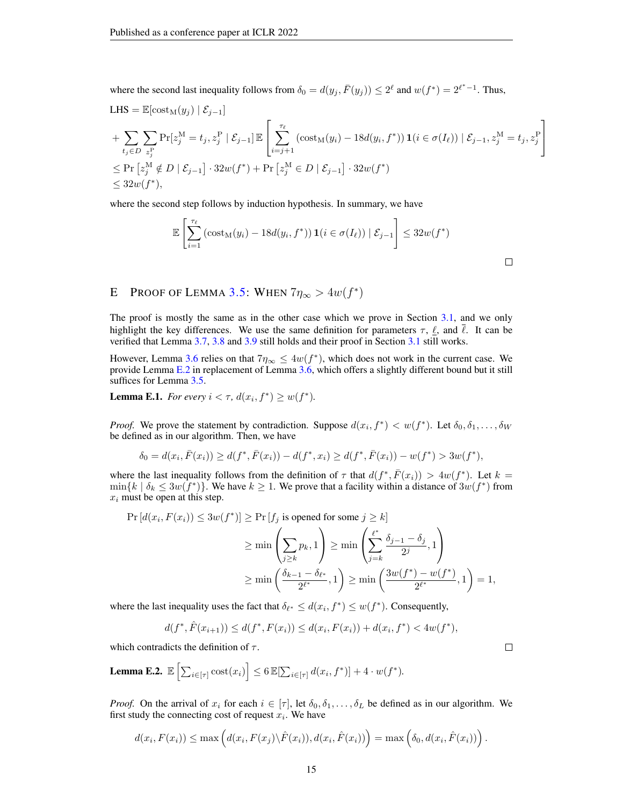where the second last inequality follows from  $\delta_0 = d(y_j, \bar{F}(y_j)) \leq 2^{\ell}$  and  $w(f^*) = 2^{\ell^*-1}$ . Thus,

LHS = 
$$
\mathbb{E}[\text{cost}_{M}(y_j) | \mathcal{E}_{j-1}]
$$
  
\n+  $\sum_{t_j \in D} \sum_{z_j^P} \Pr[z_j^M = t_j, z_j^P | \mathcal{E}_{j-1}] \mathbb{E} \left[ \sum_{i=j+1}^{\tau_{\ell}} (\text{cost}_{M}(y_i) - 18d(y_i, f^*)) \mathbf{1}(i \in \sigma(I_{\ell})) | \mathcal{E}_{j-1}, z_j^M = t_j, z_j^P \right]$   
\n $\leq \Pr[z_j^M \notin D | \mathcal{E}_{j-1}] \cdot 32w(f^*) + \Pr[z_j^M \in D | \mathcal{E}_{j-1}] \cdot 32w(f^*)$   
\n $\leq 32w(f^*),$ 

where the second step follows by induction hypothesis. In summary, we have

$$
\mathbb{E}\left[\sum_{i=1}^{\tau_{\ell}}\left(\text{cost}_{M}(y_{i}) - 18d(y_{i}, f^{*})\right)\mathbf{1}(i \in \sigma(I_{\ell})) \mid \mathcal{E}_{j-1}\right] \leq 32w(f^{*})
$$

## <span id="page-14-0"></span>E PROOF OF LEMMA [3.5:](#page-5-0) WHEN  $7\eta_{\infty} > 4w(f^*)$

The proof is mostly the same as in the other case which we prove in Section [3.1,](#page-5-2) and we only highlight the key differences. We use the same definition for parameters  $\tau$ ,  $\ell$ , and  $\ell$ . It can be verified that Lemma [3.7,](#page-6-1) [3.8](#page-6-2) and [3.9](#page-6-3) still holds and their proof in Section [3.1](#page-5-2) still works.

However, Lemma [3.6](#page-6-0) relies on that  $7\eta_{\infty} \le 4w(f^*)$ , which does not work in the current case. We provide Lemma [E.2](#page-14-1) in replacement of Lemma [3.6,](#page-6-0) which offers a slightly different bound but it still suffices for Lemma [3.5.](#page-5-0)

<span id="page-14-2"></span>**Lemma E.1.** *For every*  $i < \tau$ ,  $d(x_i, f^*) \ge w(f^*)$ .

*Proof.* We prove the statement by contradiction. Suppose  $d(x_i, f^*) < w(f^*)$ . Let  $\delta_0, \delta_1, \ldots, \delta_W$ be defined as in our algorithm. Then, we have

$$
\delta_0 = d(x_i, \bar{F}(x_i)) \ge d(f^*, \bar{F}(x_i)) - d(f^*, x_i) \ge d(f^*, \bar{F}(x_i)) - w(f^*) > 3w(f^*),
$$

where the last inequality follows from the definition of  $\tau$  that  $d(f^*, \overline{F}(x_i)) > 4w(f^*)$ . Let  $k =$  $\min\{k \mid \delta_k \leq 3w(f^*)\}$ . We have  $k \geq 1$ . We prove that a facility within a distance of  $3w(f^*)$  from  $x_i$  must be open at this step.

$$
\Pr\left[d(x_i, F(x_i)) \le 3w(f^*)\right] \ge \Pr\left[f_j \text{ is opened for some } j \ge k\right]
$$

$$
\ge \min\left(\sum_{j\ge k} p_k, 1\right) \ge \min\left(\sum_{j=k}^{\ell^*} \frac{\delta_{j-1} - \delta_j}{2^j}, 1\right)
$$

$$
\ge \min\left(\frac{\delta_{k-1} - \delta_{\ell^*}}{2^{\ell^*}}, 1\right) \ge \min\left(\frac{3w(f^*) - w(f^*)}{2^{\ell^*}}, 1\right) = 1,
$$

where the last inequality uses the fact that  $\delta_{\ell^*} \leq d(x_i, f^*) \leq w(f^*)$ . Consequently,

$$
d(f^*, \hat{F}(x_{i+1})) \le d(f^*, F(x_i)) \le d(x_i, F(x_i)) + d(x_i, f^*) < 4w(f^*),
$$

which contradicts the definition of  $\tau$ .

<span id="page-14-1"></span>**Lemma E.2.** 
$$
\mathbb{E}\left[\sum_{i\in[\tau]}\mathrm{cost}(x_i)\right] \leq 6 \mathbb{E}[\sum_{i\in[\tau]}d(x_i, f^*)] + 4 \cdot w(f^*).
$$

*Proof.* On the arrival of  $x_i$  for each  $i \in [\tau]$ , let  $\delta_0, \delta_1, \ldots, \delta_L$  be defined as in our algorithm. We first study the connecting cost of request  $x_i$ . We have

$$
d(x_i, F(x_i)) \leq \max \left( d(x_i, F(x_j) \setminus \hat{F}(x_i)), d(x_i, \hat{F}(x_i)) \right) = \max \left( \delta_0, d(x_i, \hat{F}(x_i)) \right).
$$

```
\Box
```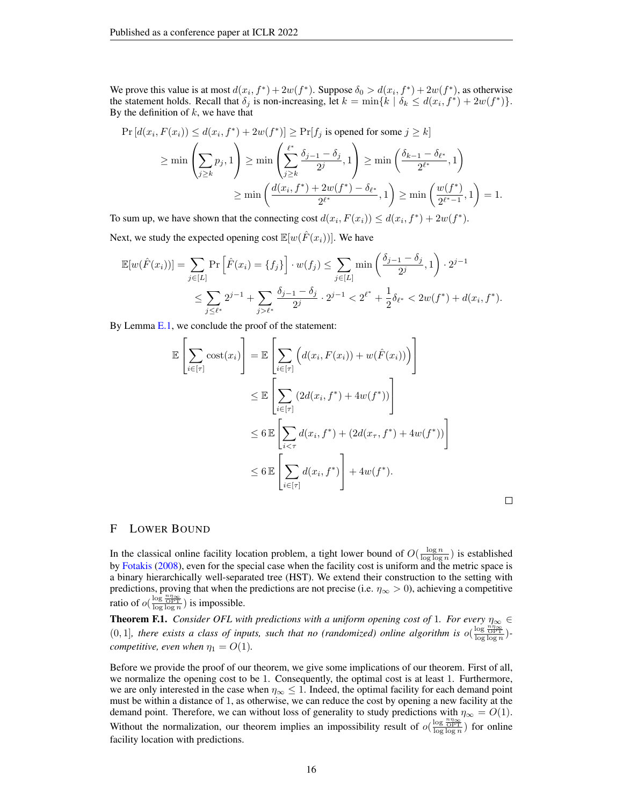We prove this value is at most  $d(x_i, f^*) + 2w(f^*)$ . Suppose  $\delta_0 > d(x_i, f^*) + 2w(f^*)$ , as otherwise the statement holds. Recall that  $\delta_j$  is non-increasing, let  $k = \min\{k \mid \delta_k \leq d(x_i, f^*) + 2w(f^*)\}.$ By the definition of  $k$ , we have that

$$
\Pr\left[d(x_i, F(x_i)) \le d(x_i, f^*) + 2w(f^*)\right] \ge \Pr[f_j \text{ is opened for some } j \ge k]
$$
\n
$$
\ge \min\left(\sum_{j\ge k} p_j, 1\right) \ge \min\left(\sum_{j\ge k} \frac{\delta_{j-1} - \delta_j}{2^j}, 1\right) \ge \min\left(\frac{\delta_{k-1} - \delta_{\ell^*}}{2^{\ell^*}}, 1\right)
$$
\n
$$
\ge \min\left(\frac{d(x_i, f^*) + 2w(f^*) - \delta_{\ell^*}}{2^{\ell^*}}, 1\right) \ge \min\left(\frac{w(f^*)}{2^{\ell^*-1}}, 1\right) = 1.
$$

To sum up, we have shown that the connecting cost  $d(x_i, F(x_i)) \le d(x_i, f^*) + 2w(f^*)$ . Next, we study the expected opening cost  $\mathbb{E}[w(\hat{F}(x_i))]$ . We have

$$
\mathbb{E}[w(\hat{F}(x_i))] = \sum_{j \in [L]} \Pr\left[\hat{F}(x_i) = \{f_j\}\right] \cdot w(f_j) \le \sum_{j \in [L]} \min\left(\frac{\delta_{j-1} - \delta_j}{2^j}, 1\right) \cdot 2^{j-1} \\
\le \sum_{j \le \ell^*} 2^{j-1} + \sum_{j > \ell^*} \frac{\delta_{j-1} - \delta_j}{2^j} \cdot 2^{j-1} < 2^{\ell^*} + \frac{1}{2}\delta_{\ell^*} < 2w(f^*) + d(x_i, f^*).
$$

By Lemma [E.1,](#page-14-2) we conclude the proof of the statement:

$$
\mathbb{E}\left[\sum_{i\in[\tau]} \text{cost}(x_i)\right] = \mathbb{E}\left[\sum_{i\in[\tau]} \left(d(x_i, F(x_i)) + w(\hat{F}(x_i))\right)\right]
$$
  
\n
$$
\leq \mathbb{E}\left[\sum_{i\in[\tau]} \left(2d(x_i, f^*) + 4w(f^*)\right)\right]
$$
  
\n
$$
\leq 6 \mathbb{E}\left[\sum_{i<\tau} d(x_i, f^*) + \left(2d(x_\tau, f^*) + 4w(f^*)\right)\right]
$$
  
\n
$$
\leq 6 \mathbb{E}\left[\sum_{i\in[\tau]} d(x_i, f^*)\right] + 4w(f^*).
$$

#### <span id="page-15-0"></span>F LOWER BOUND

In the classical online facility location problem, a tight lower bound of  $O(\frac{\log n}{\log \log n})$  is established by [Fotakis](#page-9-2) [\(2008\)](#page-9-2), even for the special case when the facility cost is uniform and the metric space is a binary hierarchically well-separated tree (HST). We extend their construction to the setting with predictions, proving that when the predictions are not precise (i.e.  $\eta_{\infty} > 0$ ), achieving a competitive ratio of  $o(\frac{\log \frac{n\eta_{\infty}}{\text{OPT}}}{\log \log n})$  is impossible.

**Theorem F.1.** *Consider OFL with predictions with a uniform opening cost of* 1*. For every*  $\eta_{\infty} \in$  $(0, 1]$ , there exists a class of inputs, such that no (randomized) online algorithm is  $o(\frac{\log \frac{n}{\log n}}{\log \log n})$ *competitive, even when*  $\eta_1 = O(1)$ *.* 

Before we provide the proof of our theorem, we give some implications of our theorem. First of all, we normalize the opening cost to be 1. Consequently, the optimal cost is at least 1. Furthermore, we are only interested in the case when  $\eta_{\infty} \leq 1$ . Indeed, the optimal facility for each demand point must be within a distance of 1, as otherwise, we can reduce the cost by opening a new facility at the demand point. Therefore, we can without loss of generality to study predictions with  $\eta_{\infty} = O(1)$ . Without the normalization, our theorem implies an impossibility result of  $o(\frac{\log \frac{n\eta_{\infty}}{OPT}}{\log \log n})$  for online facility location with predictions.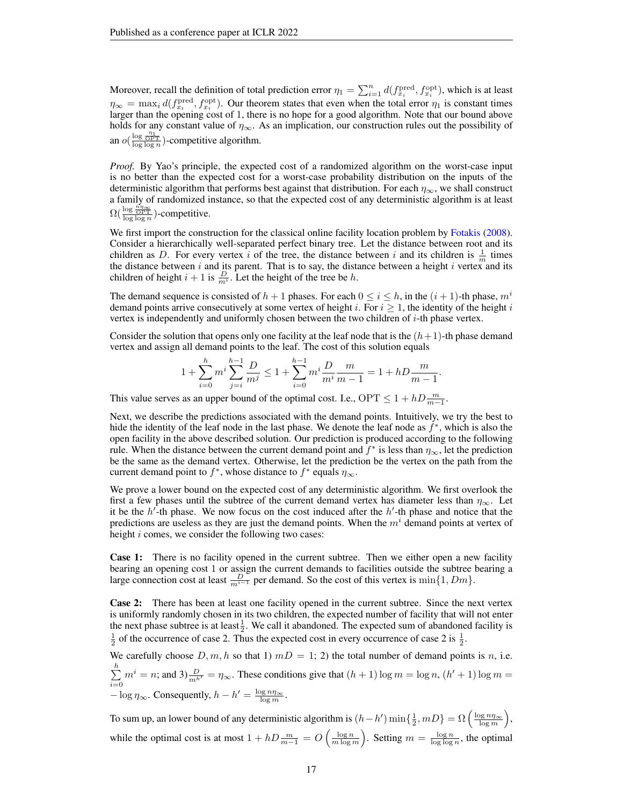Moreover, recall the definition of total prediction error  $\eta_1 = \sum_{i=1}^n d(f_{x_i}^{\text{pred}}, f_{x_i}^{\text{opt}})$ , which is at least  $\eta_{\infty} = \max_i d(f_{x_i}^{\text{pred}}, f_{x_i}^{\text{opt}})$ . Our theorem states that even when the total error  $\eta_1$  is constant times larger than the opening cost of 1, there is no hope for a good algorithm. Note that our bound above holds for any constant value of  $\eta_{\infty}$ . As an implication, our construction rules out the possibility of an  $o(\frac{\log \frac{\eta_1}{\text{OPT}}}{\log \log n})$ -competitive algorithm.

*Proof.* By Yao's principle, the expected cost of a randomized algorithm on the worst-case input is no better than the expected cost for a worst-case probability distribution on the inputs of the deterministic algorithm that performs best against that distribution. For each  $\eta_{\infty}$ , we shall construct a family of randomized instance, so that the expected cost of any deterministic algorithm is at least  $\Omega(\frac{\log \frac{n\eta_{\infty}}{\text{OPT}}}{\log \log n})$ -competitive.

We first import the construction for the classical online facility location problem by [Fotakis](#page-9-2) [\(2008\)](#page-9-2). Consider a hierarchically well-separated perfect binary tree. Let the distance between root and its children as D. For every vertex i of the tree, the distance between i and its children is  $\frac{1}{m}$  times the distance between  $i$  and its parent. That is to say, the distance between a height  $i$  vertex and its children of height  $i + 1$  is  $\frac{D}{m^i}$ . Let the height of the tree be h.

The demand sequence is consisted of  $h + 1$  phases. For each  $0 \le i \le h$ , in the  $(i + 1)$ -th phase,  $m<sup>i</sup>$ demand points arrive consecutively at some vertex of height i. For  $i \geq 1$ , the identity of the height i vertex is independently and uniformly chosen between the two children of i-th phase vertex.

Consider the solution that opens only one facility at the leaf node that is the  $(h+1)$ -th phase demand vertex and assign all demand points to the leaf. The cost of this solution equals

$$
1+\sum_{i=0}^h m^i \sum_{j=i}^{h-1} \frac{D}{m^j} \leq 1+\sum_{i=0}^{h-1} m^i \frac{D}{m^i} \frac{m}{m-1} = 1+hD\frac{m}{m-1}.
$$

This value serves as an upper bound of the optimal cost. I.e.,  $OPT \le 1 + hD \frac{m}{m-1}$ .

Next, we describe the predictions associated with the demand points. Intuitively, we try the best to hide the identity of the leaf node in the last phase. We denote the leaf node as  $f^*$ , which is also the open facility in the above described solution. Our prediction is produced according to the following rule. When the distance between the current demand point and  $f^*$  is less than  $\eta_{\infty}$ , let the prediction be the same as the demand vertex. Otherwise, let the prediction be the vertex on the path from the current demand point to  $f^*$ , whose distance to  $f^*$  equals  $\eta_{\infty}$ .

We prove a lower bound on the expected cost of any deterministic algorithm. We first overlook the first a few phases until the subtree of the current demand vertex has diameter less than  $\eta_{\infty}$ . Let it be the  $h'$ -th phase. We now focus on the cost induced after the  $h'$ -th phase and notice that the predictions are useless as they are just the demand points. When the  $m<sup>i</sup>$  demand points at vertex of height *i* comes, we consider the following two cases:

**Case 1:** There is no facility opened in the current subtree. Then we either open a new facility bearing an opening cost 1 or assign the current demands to facilities outside the subtree bearing a large connection cost at least  $\frac{D}{m^{i-1}}$  per demand. So the cost of this vertex is  $\min\{1, Dm\}$ .

**Case 2:** There has been at least one facility opened in the current subtree. Since the next vertex is uniformly randomly chosen in its two children, the expected number of facility that will not enter the next phase subtree is at least  $\frac{1}{2}$ . We call it abandoned. The expected sum of abandoned facility is  $\frac{1}{2}$  of the occurrence of case 2. Thus the expected cost in every occurrence of case 2 is  $\frac{1}{2}$ .

We carefully choose  $D, m, h$  so that 1)  $mD = 1$ ; 2) the total number of demand points is n, i.e.  $\sum_{i=1}^{h}$  $\sum_{i=0} m^i = n$ ; and  $3\frac{D}{m^{h'}} = \eta_\infty$ . These conditions give that  $(h + 1) \log m = \log n$ ,  $(h' + 1) \log m =$  $-\log \eta_{\infty}$ . Consequently,  $h - h' = \frac{\log n \eta_{\infty}}{\log m}$ .

To sum up, an lower bound of any deterministic algorithm is  $(h-h')\min\{\frac{1}{2},mD\} = \Omega\left(\frac{\log n\eta_{\infty}}{\log m}\right)$ , while the optimal cost is at most  $1 + hD\frac{m}{m-1} = O\left(\frac{\log n}{m\log m}\right)$ . Setting  $m = \frac{\log n}{\log \log n}$ , the optimal